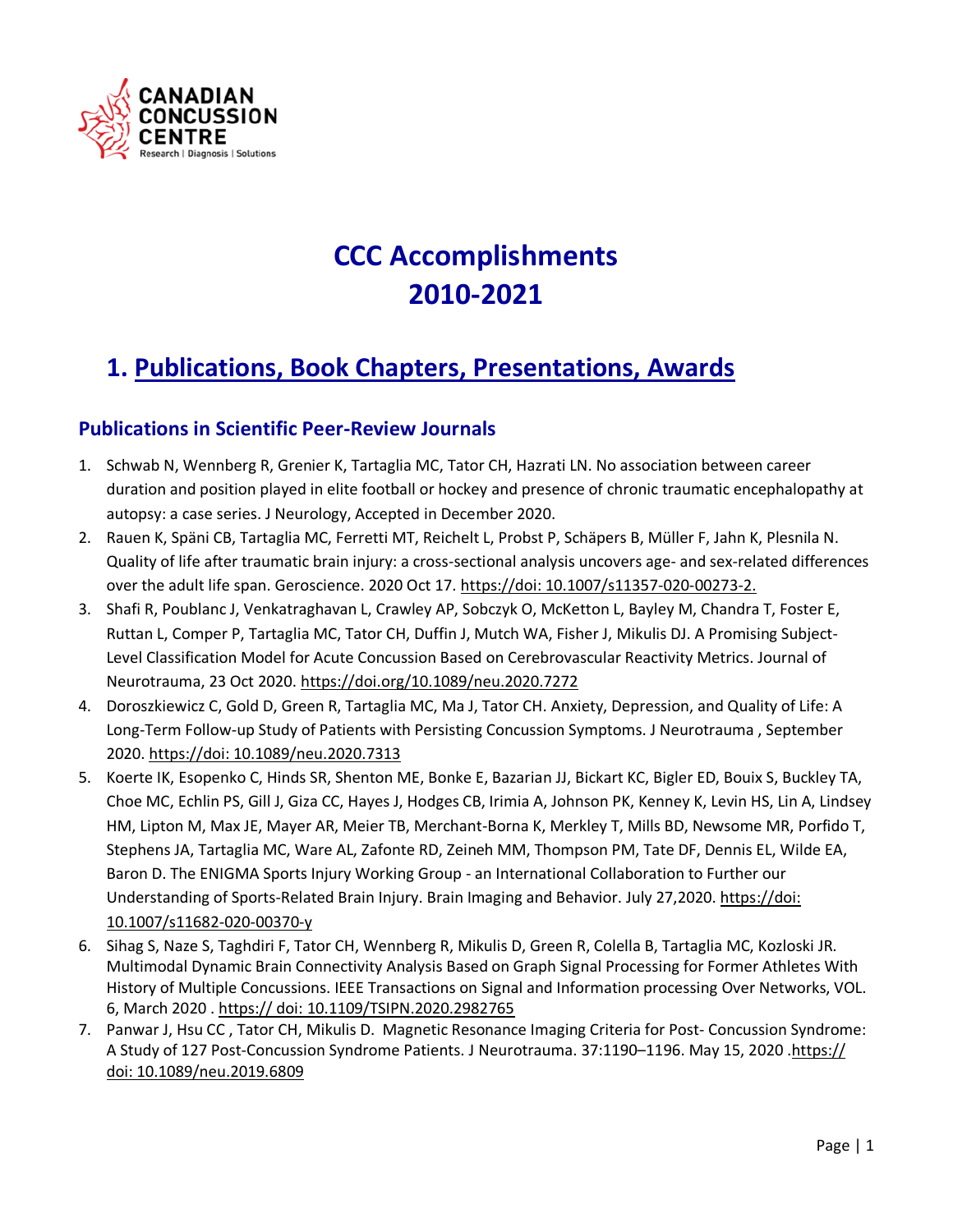

# **CCC Accomplishments 2010-2021**

## **1. Publications, Book Chapters, Presentations, Awards**

#### **Publications in Scientific Peer-Review Journals**

- 1. Schwab N, Wennberg R, Grenier K, Tartaglia MC, Tator CH, Hazrati LN. No association between career duration and position played in elite football or hockey and presence of chronic traumatic encephalopathy at autopsy: a case series. J Neurology, Accepted in December 2020.
- 2. Rauen K, Späni CB, Tartaglia MC, Ferretti MT, Reichelt L, Probst P, Schäpers B, Müller F, Jahn K, Plesnila N. Quality of life after traumatic brain injury: a cross-sectional analysis uncovers age- and sex-related differences over the adult life span. Geroscience. 2020 Oct 17. https://doi: 10.1007/s11357-020-00273-2.
- 3. Shafi R, Poublanc J, Venkatraghavan L, Crawley AP, Sobczyk O, McKetton L, Bayley M, Chandra T, Foster E, Ruttan L, Comper P, Tartaglia MC, Tator CH, Duffin J, Mutch WA, Fisher J, Mikulis DJ. A Promising Subject-Level Classification Model for Acute Concussion Based on Cerebrovascular Reactivity Metrics. Journal of Neurotrauma, 23 Oct 2020. https://doi.org/10.1089/neu.2020.7272
- 4. Doroszkiewicz C, Gold D, Green R, Tartaglia MC, Ma J, Tator CH. Anxiety, Depression, and Quality of Life: A Long-Term Follow-up Study of Patients with Persisting Concussion Symptoms. J Neurotrauma , September 2020. https://doi: 10.1089/neu.2020.7313
- 5. Koerte IK, Esopenko C, Hinds SR, Shenton ME, Bonke E, Bazarian JJ, Bickart KC, Bigler ED, Bouix S, Buckley TA, Choe MC, Echlin PS, Gill J, Giza CC, Hayes J, Hodges CB, Irimia A, Johnson PK, Kenney K, Levin HS, Lin A, Lindsey HM, Lipton M, Max JE, Mayer AR, Meier TB, Merchant-Borna K, Merkley T, Mills BD, Newsome MR, Porfido T, Stephens JA, Tartaglia MC, Ware AL, Zafonte RD, Zeineh MM, Thompson PM, Tate DF, Dennis EL, Wilde EA, Baron D. The ENIGMA Sports Injury Working Group - an International Collaboration to Further our Understanding of Sports-Related Brain Injury. Brain Imaging and Behavior. July 27,2020. https://doi: 10.1007/s11682-020-00370-y
- 6. Sihag S, Naze S, Taghdiri F, Tator CH, Wennberg R, Mikulis D, Green R, Colella B, Tartaglia MC, Kozloski JR. Multimodal Dynamic Brain Connectivity Analysis Based on Graph Signal Processing for Former Athletes With History of Multiple Concussions. IEEE Transactions on Signal and Information processing Over Networks, VOL. 6, March 2020 . https:// doi: 10.1109/TSIPN.2020.2982765
- 7. Panwar J, Hsu CC , Tator CH, Mikulis D. Magnetic Resonance Imaging Criteria for Post- Concussion Syndrome: A Study of 127 Post-Concussion Syndrome Patients. J Neurotrauma. 37:1190–1196. May 15, 2020 .https:// doi: 10.1089/neu.2019.6809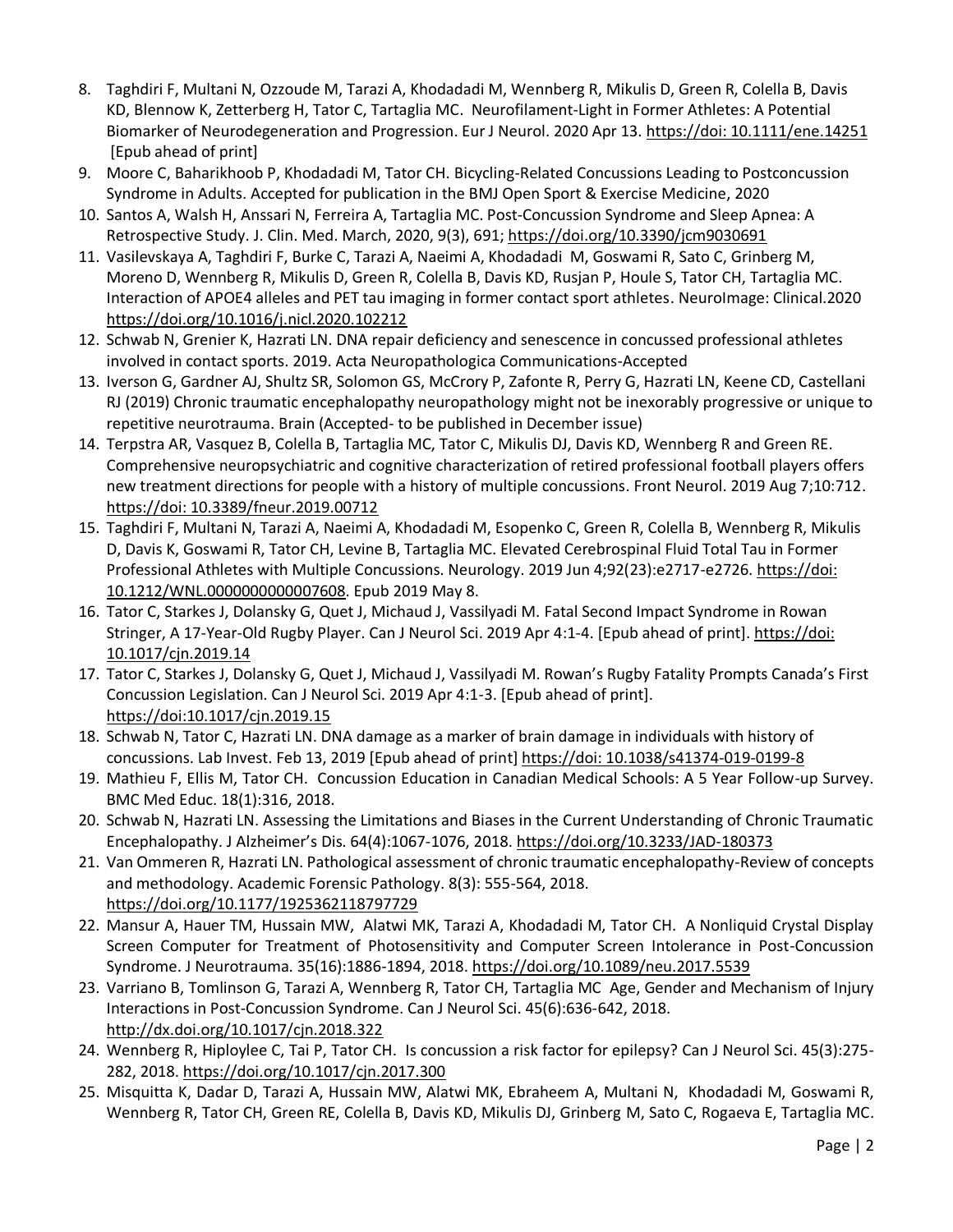- 8. Taghdiri F, Multani N, Ozzoude M, Tarazi A, Khodadadi M, Wennberg R, Mikulis D, Green R, Colella B, Davis KD, Blennow K, Zetterberg H, Tator C, Tartaglia MC. Neurofilament-Light in Former Athletes: A Potential Biomarker of Neurodegeneration and Progression. Eur J Neurol. 2020 Apr 13. https://doi: 10.1111/ene.14251 [Epub ahead of print]
- 9. Moore C, Baharikhoob P, Khodadadi M, Tator CH. Bicycling-Related Concussions Leading to Postconcussion Syndrome in Adults. Accepted for publication in the BMJ Open Sport & Exercise Medicine, 2020
- 10. Santos A, Walsh H, Anssari N, Ferreira A, Tartaglia MC. Post-Concussion Syndrome and Sleep Apnea: A Retrospective Study. J. Clin. Med. March, 2020, 9(3), 691; https://doi.org/10.3390/jcm9030691
- 11. Vasilevskaya A, Taghdiri F, Burke C, Tarazi A, Naeimi A, Khodadadi M, Goswami R, Sato C, Grinberg M, Moreno D, Wennberg R, Mikulis D, Green R, Colella B, Davis KD, Rusjan P, Houle S, Tator CH, Tartaglia MC. Interaction of APOE4 alleles and PET tau imaging in former contact sport athletes. NeuroImage: Clinical.2020 <https://doi.org/10.1016/j.nicl.2020.102212>
- 12. Schwab N, Grenier K, Hazrati LN. DNA repair deficiency and senescence in concussed professional athletes involved in contact sports. 2019. Acta Neuropathologica Communications-Accepted
- 13. Iverson G, Gardner AJ, Shultz SR, Solomon GS, McCrory P, Zafonte R, Perry G, Hazrati LN, Keene CD, Castellani RJ (2019) Chronic traumatic encephalopathy neuropathology might not be inexorably progressive or unique to repetitive neurotrauma. Brain (Accepted- to be published in December issue)
- 14. Terpstra AR, Vasquez B, Colella B, Tartaglia MC, Tator C, Mikulis DJ, Davis KD, Wennberg R and Green RE. Comprehensive neuropsychiatric and cognitive characterization of retired professional football players offers new treatment directions for people with a history of multiple concussions. Front Neurol. 2019 Aug 7;10:712. https://doi: 10.3389/fneur.2019.00712
- 15. Taghdiri F, Multani N, Tarazi A, Naeimi A, Khodadadi M, Esopenko C, Green R, Colella B, Wennberg R, Mikulis D, Davis K, Goswami R, Tator CH, Levine B, Tartaglia MC. Elevated Cerebrospinal Fluid Total Tau in Former Professional Athletes with Multiple Concussions. Neurology. 2019 Jun 4;92(23):e2717-e2726. https://doi: 10.1212/WNL.0000000000007608. Epub 2019 May 8.
- 16. Tator C, Starkes J, Dolansky G, Quet J, Michaud J, Vassilyadi M. Fatal Second Impact Syndrome in Rowan Stringer, A 17-Year-Old Rugby Player. Can J Neurol Sci. 2019 Apr 4:1-4. [Epub ahead of print]. https://doi: [10.1017/cjn.2019.14](https://doi:%2010.1017/cjn.2019.14)
- 17. Tator C, Starkes J, Dolansky G, Quet J, Michaud J, Vassilyadi M. Rowan's Rugby Fatality Prompts Canada's First Concussion Legislation. Can J Neurol Sci. 2019 Apr 4:1-3. [Epub ahead of print]. <https://doi:10.1017/cjn.2019.15>
- 18. Schwab N, Tator C, Hazrati LN. DNA damage as a marker of brain damage in individuals with history of concussions. Lab Invest. Feb 13, 2019 [Epub ahead of print] https://doi: 10.1038/s41374-019-0199-8
- 19. Mathieu F, Ellis M, Tator CH. Concussion Education in Canadian Medical Schools: A 5 Year Follow-up Survey. BMC Med Educ. 18(1):316, 2018.
- 20. Schwab N, Hazrati LN. Assessing the Limitations and Biases in the Current Understanding of Chronic Traumatic Encephalopathy. J Alzheimer's Dis. 64(4):1067-1076, 2018.<https://doi.org/10.3233/JAD-180373>
- 21. Van Ommeren R, Hazrati LN. Pathological assessment of chronic traumatic encephalopathy-Review of concepts and methodology. Academic Forensic Pathology. 8(3): 555-564, 2018. <https://doi.org/10.1177/1925362118797729>
- 22. Mansur A, Hauer TM, Hussain MW, Alatwi MK, Tarazi A, Khodadadi M, Tator CH. A Nonliquid Crystal Display Screen Computer for Treatment of Photosensitivity and Computer Screen Intolerance in Post-Concussion Syndrome. J Neurotrauma. 35(16):1886-1894, 2018. <https://doi.org/10.1089/neu.2017.5539>
- 23. Varriano B, Tomlinson G, Tarazi A, Wennberg R, Tator CH, Tartaglia MC Age, Gender and Mechanism of Injury Interactions in Post-Concussion Syndrome. Can J Neurol Sci. 45(6):636-642, 2018. <http://dx.doi.org/10.1017/cjn.2018.322>
- 24. Wennberg R, Hiploylee C, Tai P, Tator CH. Is concussion a risk factor for epilepsy? Can J Neurol Sci. 45(3):275- 282, 2018. <https://doi.org/10.1017/cjn.2017.300>
- 25. Misquitta K, Dadar D, Tarazi A, Hussain MW, Alatwi MK, Ebraheem A, Multani N, Khodadadi M, Goswami R, Wennberg R, Tator CH, Green RE, Colella B, Davis KD, Mikulis DJ, Grinberg M, Sato C, Rogaeva E, Tartaglia MC.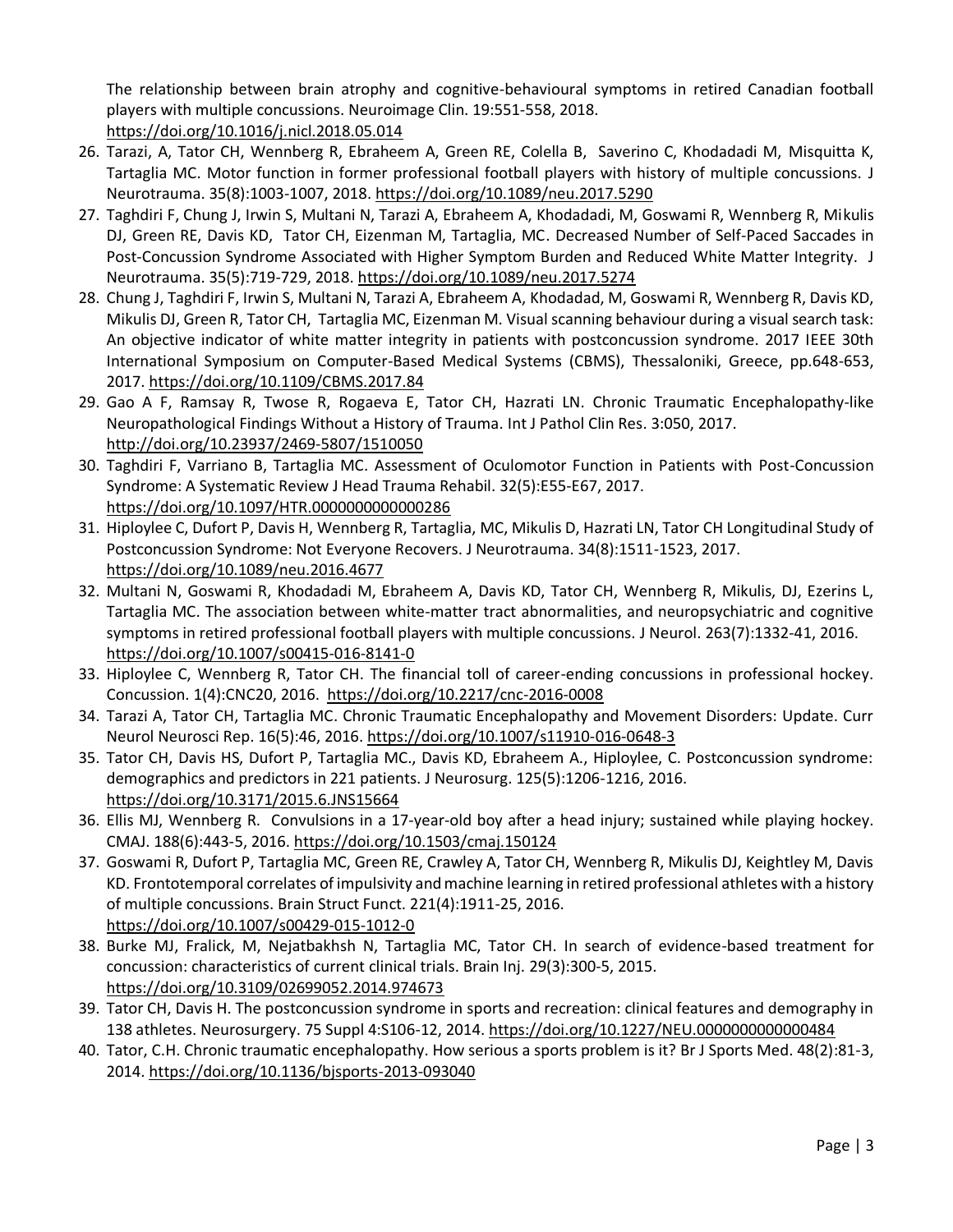The relationship between brain atrophy and cognitive-behavioural symptoms in retired Canadian football players with multiple concussions. Neuroimage Clin. 19:551-558, 2018. <https://doi.org/10.1016/j.nicl.2018.05.014>

- 26. Tarazi, A, Tator CH, Wennberg R, Ebraheem A, Green RE, Colella B, Saverino C, Khodadadi M, Misquitta K, Tartaglia MC. Motor function in former professional football players with history of multiple concussions. J Neurotrauma. 35(8):1003-1007, 2018. <https://doi.org/10.1089/neu.2017.5290>
- 27. Taghdiri F, Chung J, Irwin S, Multani N, Tarazi A, Ebraheem A, Khodadadi, M, Goswami R, Wennberg R, Mikulis DJ, Green RE, Davis KD, Tator CH, Eizenman M, Tartaglia, MC. Decreased Number of Self-Paced Saccades in Post-Concussion Syndrome Associated with Higher Symptom Burden and Reduced White Matter Integrity. J Neurotrauma. 35(5):719-729, 2018. <https://doi.org/10.1089/neu.2017.5274>
- 28. Chung J, Taghdiri F, Irwin S, Multani N, Tarazi A, Ebraheem A, Khodadad, M, Goswami R, Wennberg R, Davis KD, Mikulis DJ, Green R, Tator CH, Tartaglia MC, Eizenman M. Visual scanning behaviour during a visual search task: An objective indicator of white matter integrity in patients with postconcussion syndrome. 2017 IEEE 30th International Symposium on Computer-Based Medical Systems (CBMS), Thessaloniki, Greece, pp.648-653, 2017.<https://doi.org/10.1109/CBMS.2017.84>
- 29. Gao A F, Ramsay R, Twose R, Rogaeva E, Tator CH, Hazrati LN. Chronic Traumatic Encephalopathy-like Neuropathological Findings Without a History of Trauma. Int J Pathol Clin Res. 3:050, 2017. <http://doi.org/10.23937/2469-5807/1510050>
- 30. Taghdiri F, Varriano B, Tartaglia MC. Assessment of Oculomotor Function in Patients with Post-Concussion Syndrome: A Systematic Review J Head Trauma Rehabil. 32(5):E55-E67, 2017. <https://doi.org/10.1097/HTR.0000000000000286>
- 31. Hiploylee C, Dufort P, Davis H, Wennberg R, Tartaglia, MC, Mikulis D, Hazrati LN, Tator CH Longitudinal Study of Postconcussion Syndrome: Not Everyone Recovers. J Neurotrauma. 34(8):1511-1523, 2017. <https://doi.org/10.1089/neu.2016.4677>
- 32. Multani N, Goswami R, Khodadadi M, Ebraheem A, Davis KD, Tator CH, Wennberg R, Mikulis, DJ, Ezerins L, Tartaglia MC. The association between white-matter tract abnormalities, and neuropsychiatric and cognitive symptoms in retired professional football players with multiple concussions. J Neurol. 263(7):1332-41, 2016. <https://doi.org/10.1007/s00415-016-8141-0>
- 33. Hiploylee C, Wennberg R, Tator CH. The financial toll of career-ending concussions in professional hockey. Concussion. 1(4):CNC20, 2016. <https://doi.org/10.2217/cnc-2016-0008>
- 34. Tarazi A, Tator CH, Tartaglia MC. Chronic Traumatic Encephalopathy and Movement Disorders: Update. Curr Neurol Neurosci Rep. 16(5):46, 2016.<https://doi.org/10.1007/s11910-016-0648-3>
- 35. Tator CH, Davis HS, Dufort P, Tartaglia MC., Davis KD, Ebraheem A., Hiploylee, C. Postconcussion syndrome: demographics and predictors in 221 patients. J Neurosurg. 125(5):1206-1216, 2016. <https://doi.org/10.3171/2015.6.JNS15664>
- 36. Ellis MJ, Wennberg R. Convulsions in a 17-year-old boy after a head injury; sustained while playing hockey. CMAJ. 188(6):443-5, 2016. <https://doi.org/10.1503/cmaj.150124>
- 37. Goswami R, Dufort P, Tartaglia MC, Green RE, Crawley A, Tator CH, Wennberg R, Mikulis DJ, Keightley M, Davis KD. Frontotemporal correlates of impulsivity and machine learning in retired professional athletes with a history of multiple concussions. Brain Struct Funct. 221(4):1911-25, 2016. <https://doi.org/10.1007/s00429-015-1012-0>
- 38. Burke MJ, Fralick, M, Nejatbakhsh N, Tartaglia MC, Tator CH. In search of evidence-based treatment for concussion: characteristics of current clinical trials. Brain Inj. 29(3):300-5, 2015. <https://doi.org/10.3109/02699052.2014.974673>
- 39. Tator CH, Davis H. The postconcussion syndrome in sports and recreation: clinical features and demography in 138 athletes. Neurosurgery. 75 Suppl 4:S106-12, 2014.<https://doi.org/10.1227/NEU.0000000000000484>
- 40. Tator, C.H. Chronic traumatic encephalopathy. How serious a sports problem is it? Br J Sports Med. 48(2):81-3, 2014. <https://doi.org/10.1136/bjsports-2013-093040>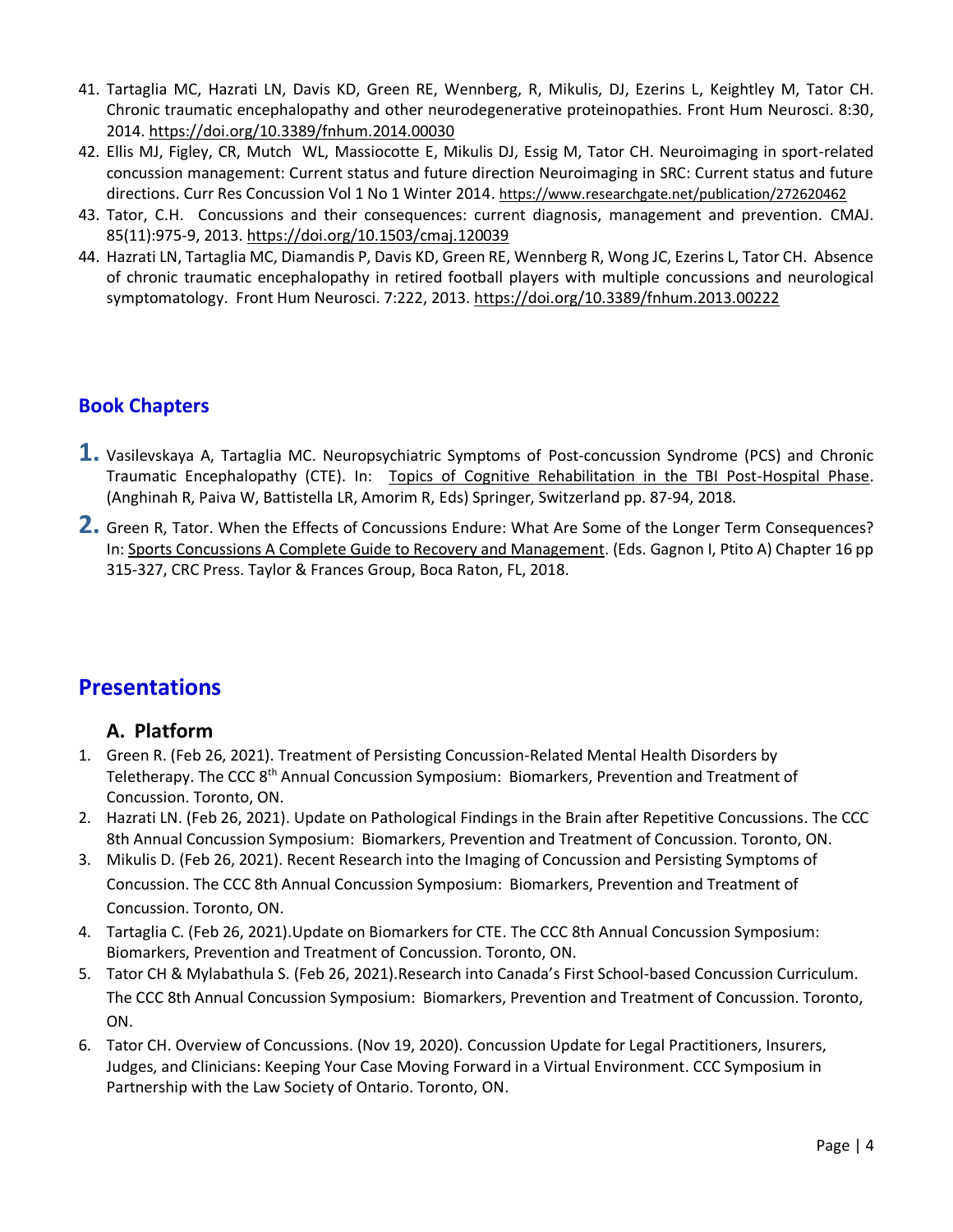- 41. Tartaglia MC, Hazrati LN, Davis KD, Green RE, Wennberg, R, Mikulis, DJ, Ezerins L, Keightley M, Tator CH. Chronic traumatic encephalopathy and other neurodegenerative proteinopathies. Front Hum Neurosci. 8:30, 2014. <https://doi.org/10.3389/fnhum.2014.00030>
- 42. Ellis MJ, Figley, CR, Mutch WL, Massiocotte E, Mikulis DJ, Essig M, Tator CH. Neuroimaging in sport-related concussion management: Current status and future direction Neuroimaging in SRC: Current status and future directions. Curr Res Concussion Vol 1 No 1 Winter 2014. <https://www.researchgate.net/publication/272620462>
- 43. Tator, C.H. Concussions and their consequences: current diagnosis, management and prevention. CMAJ. 85(11):975-9, 2013. <https://doi.org/10.1503/cmaj.120039>
- 44. Hazrati LN, Tartaglia MC, Diamandis P, Davis KD, Green RE, Wennberg R, Wong JC, Ezerins L, Tator CH. Absence of chronic traumatic encephalopathy in retired football players with multiple concussions and neurological symptomatology. Front Hum Neurosci. 7:222, 2013.<https://doi.org/10.3389/fnhum.2013.00222>

#### **Book Chapters**

- **1.** Vasilevskaya A, Tartaglia MC. Neuropsychiatric Symptoms of Post-concussion Syndrome (PCS) and Chronic Traumatic Encephalopathy (CTE). In: Topics of Cognitive Rehabilitation in the TBI Post-Hospital Phase. (Anghinah R, Paiva W, Battistella LR, Amorim R, Eds) Springer, Switzerland pp. 87-94, 2018.
- **2.** Green R, Tator. When the Effects of Concussions Endure: What Are Some of the Longer Term Consequences? In: Sports Concussions A Complete Guide to Recovery and Management. (Eds. Gagnon I, Ptito A) Chapter 16 pp 315-327, CRC Press. Taylor & Frances Group, Boca Raton, FL, 2018.

### **Presentations**

#### **A. Platform**

- 1. Green R. (Feb 26, 2021). Treatment of Persisting Concussion-Related Mental Health Disorders by Teletherapy. The CCC 8th Annual Concussion Symposium: Biomarkers, Prevention and Treatment of Concussion. Toronto, ON.
- 2. Hazrati LN. (Feb 26, 2021). Update on Pathological Findings in the Brain after Repetitive Concussions. The CCC 8th Annual Concussion Symposium: Biomarkers, Prevention and Treatment of Concussion. Toronto, ON.
- 3. Mikulis D. (Feb 26, 2021). Recent Research into the Imaging of Concussion and Persisting Symptoms of Concussion. The CCC 8th Annual Concussion Symposium: Biomarkers, Prevention and Treatment of Concussion. Toronto, ON.
- 4. Tartaglia C. (Feb 26, 2021).Update on Biomarkers for CTE. The CCC 8th Annual Concussion Symposium: Biomarkers, Prevention and Treatment of Concussion. Toronto, ON.
- 5. Tator CH & Mylabathula S. (Feb 26, 2021).Research into Canada's First School-based Concussion Curriculum. The CCC 8th Annual Concussion Symposium: Biomarkers, Prevention and Treatment of Concussion. Toronto, ON.
- 6. Tator CH. Overview of Concussions. (Nov 19, 2020). Concussion Update for Legal Practitioners, Insurers, Judges, and Clinicians: Keeping Your Case Moving Forward in a Virtual Environment. CCC Symposium in Partnership with the Law Society of Ontario. Toronto, ON.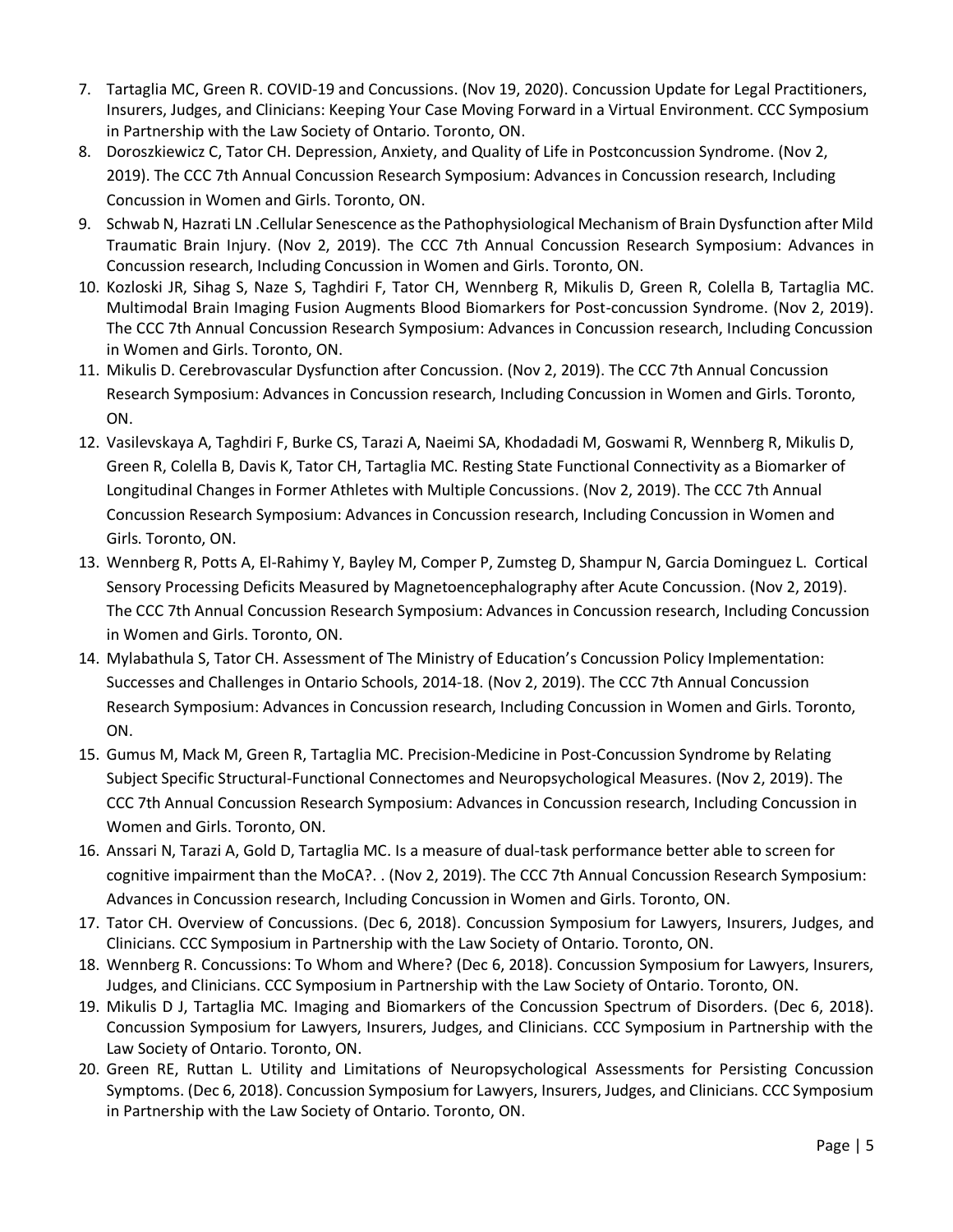- 7. Tartaglia MC, Green R. COVID-19 and Concussions. (Nov 19, 2020). Concussion Update for Legal Practitioners, Insurers, Judges, and Clinicians: Keeping Your Case Moving Forward in a Virtual Environment. CCC Symposium in Partnership with the Law Society of Ontario. Toronto, ON.
- 8. Doroszkiewicz C, Tator CH. Depression, Anxiety, and Quality of Life in Postconcussion Syndrome. (Nov 2, 2019). The CCC 7th Annual Concussion Research Symposium: Advances in Concussion research, Including Concussion in Women and Girls. Toronto, ON.
- 9. Schwab N, Hazrati LN .Cellular Senescence as the Pathophysiological Mechanism of Brain Dysfunction after Mild Traumatic Brain Injury. (Nov 2, 2019). The CCC 7th Annual Concussion Research Symposium: Advances in Concussion research, Including Concussion in Women and Girls. Toronto, ON.
- 10. Kozloski JR, Sihag S, Naze S, Taghdiri F, Tator CH, Wennberg R, Mikulis D, Green R, Colella B, Tartaglia MC. Multimodal Brain Imaging Fusion Augments Blood Biomarkers for Post-concussion Syndrome. (Nov 2, 2019). The CCC 7th Annual Concussion Research Symposium: Advances in Concussion research, Including Concussion in Women and Girls. Toronto, ON.
- 11. Mikulis D. Cerebrovascular Dysfunction after Concussion. (Nov 2, 2019). The CCC 7th Annual Concussion Research Symposium: Advances in Concussion research, Including Concussion in Women and Girls. Toronto, ON.
- 12. Vasilevskaya A, Taghdiri F, Burke CS, Tarazi A, Naeimi SA, Khodadadi M, Goswami R, Wennberg R, Mikulis D, Green R, Colella B, Davis K, Tator CH, Tartaglia MC. Resting State Functional Connectivity as a Biomarker of Longitudinal Changes in Former Athletes with Multiple Concussions. (Nov 2, 2019). The CCC 7th Annual Concussion Research Symposium: Advances in Concussion research, Including Concussion in Women and Girls. Toronto, ON.
- 13. Wennberg R, Potts A, El-Rahimy Y, Bayley M, Comper P, Zumsteg D, Shampur N, Garcia Dominguez L. Cortical Sensory Processing Deficits Measured by Magnetoencephalography after Acute Concussion. (Nov 2, 2019). The CCC 7th Annual Concussion Research Symposium: Advances in Concussion research, Including Concussion in Women and Girls. Toronto, ON.
- 14. Mylabathula S, Tator CH. Assessment of The Ministry of Education's Concussion Policy Implementation: Successes and Challenges in Ontario Schools, 2014-18. (Nov 2, 2019). The CCC 7th Annual Concussion Research Symposium: Advances in Concussion research, Including Concussion in Women and Girls. Toronto, ON.
- 15. Gumus M, Mack M, Green R, Tartaglia MC. Precision-Medicine in Post-Concussion Syndrome by Relating Subject Specific Structural-Functional Connectomes and Neuropsychological Measures. (Nov 2, 2019). The CCC 7th Annual Concussion Research Symposium: Advances in Concussion research, Including Concussion in Women and Girls. Toronto, ON.
- 16. Anssari N, Tarazi A, Gold D, Tartaglia MC. Is a measure of dual-task performance better able to screen for cognitive impairment than the MoCA?. . (Nov 2, 2019). The CCC 7th Annual Concussion Research Symposium: Advances in Concussion research, Including Concussion in Women and Girls. Toronto, ON.
- 17. Tator CH. Overview of Concussions. (Dec 6, 2018). Concussion Symposium for Lawyers, Insurers, Judges, and Clinicians. CCC Symposium in Partnership with the Law Society of Ontario. Toronto, ON.
- 18. Wennberg R. Concussions: To Whom and Where? (Dec 6, 2018). Concussion Symposium for Lawyers, Insurers, Judges, and Clinicians. CCC Symposium in Partnership with the Law Society of Ontario. Toronto, ON.
- 19. Mikulis D J, Tartaglia MC. Imaging and Biomarkers of the Concussion Spectrum of Disorders. (Dec 6, 2018). Concussion Symposium for Lawyers, Insurers, Judges, and Clinicians. CCC Symposium in Partnership with the Law Society of Ontario. Toronto, ON.
- 20. Green RE, Ruttan L. Utility and Limitations of Neuropsychological Assessments for Persisting Concussion Symptoms. (Dec 6, 2018). Concussion Symposium for Lawyers, Insurers, Judges, and Clinicians. CCC Symposium in Partnership with the Law Society of Ontario. Toronto, ON.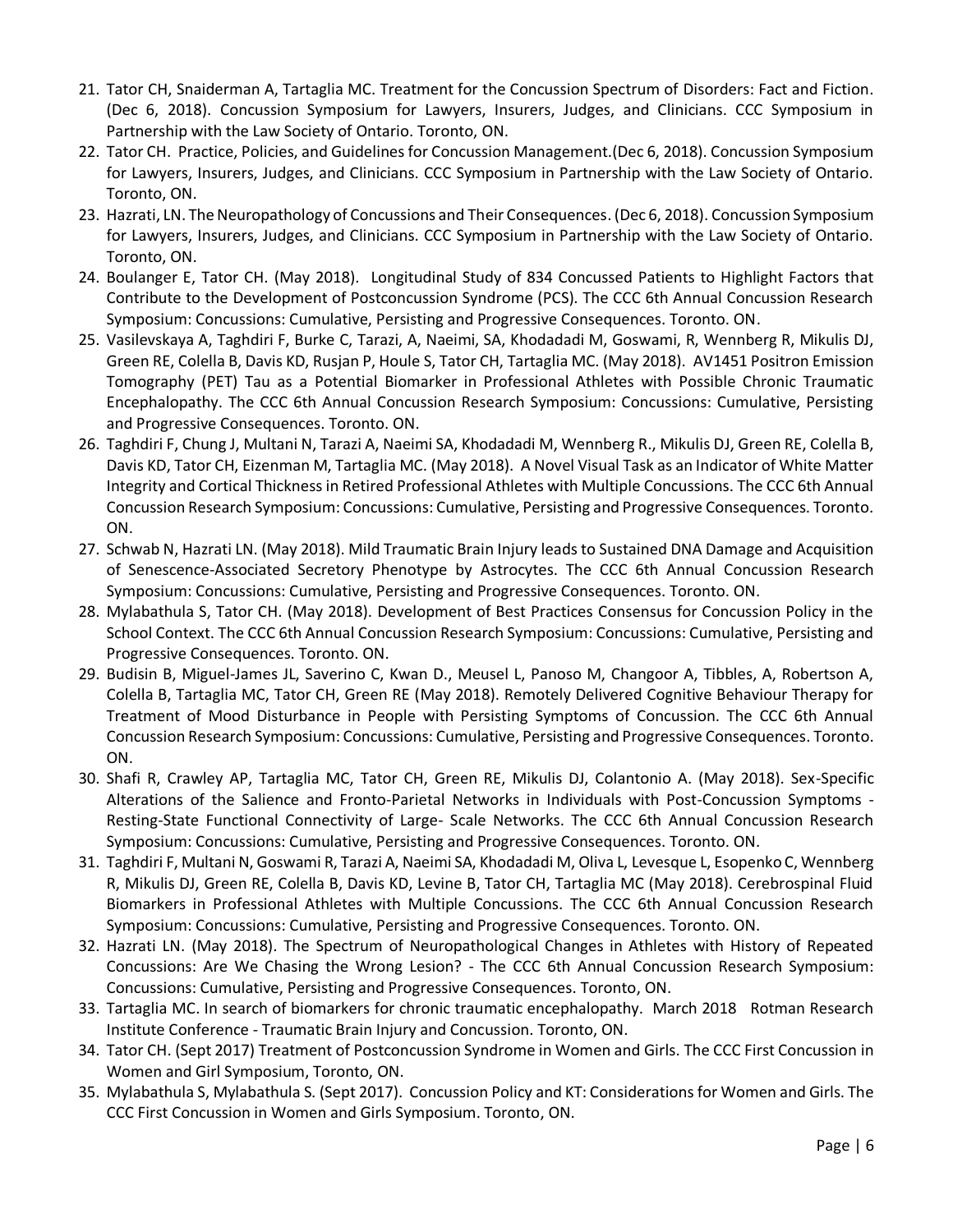- 21. Tator CH, Snaiderman A, Tartaglia MC. Treatment for the Concussion Spectrum of Disorders: Fact and Fiction. (Dec 6, 2018). Concussion Symposium for Lawyers, Insurers, Judges, and Clinicians. CCC Symposium in Partnership with the Law Society of Ontario. Toronto, ON.
- 22. Tator CH. Practice, Policies, and Guidelines for Concussion Management.(Dec 6, 2018). Concussion Symposium for Lawyers, Insurers, Judges, and Clinicians. CCC Symposium in Partnership with the Law Society of Ontario. Toronto, ON.
- 23. Hazrati, LN. The Neuropathology of Concussions and Their Consequences. (Dec 6, 2018). Concussion Symposium for Lawyers, Insurers, Judges, and Clinicians. CCC Symposium in Partnership with the Law Society of Ontario. Toronto, ON.
- 24. Boulanger E, Tator CH. (May 2018). Longitudinal Study of 834 Concussed Patients to Highlight Factors that Contribute to the Development of Postconcussion Syndrome (PCS). The CCC 6th Annual Concussion Research Symposium: Concussions: Cumulative, Persisting and Progressive Consequences. Toronto. ON.
- 25. Vasilevskaya A, Taghdiri F, Burke C, Tarazi, A, Naeimi, SA, Khodadadi M, Goswami, R, Wennberg R, Mikulis DJ, Green RE, Colella B, Davis KD, Rusjan P, Houle S, Tator CH, Tartaglia MC. (May 2018). AV1451 Positron Emission Tomography (PET) Tau as a Potential Biomarker in Professional Athletes with Possible Chronic Traumatic Encephalopathy. The CCC 6th Annual Concussion Research Symposium: Concussions: Cumulative, Persisting and Progressive Consequences. Toronto. ON.
- 26. Taghdiri F, Chung J, Multani N, Tarazi A, Naeimi SA, Khodadadi M, Wennberg R., Mikulis DJ, Green RE, Colella B, Davis KD, Tator CH, Eizenman M, Tartaglia MC. (May 2018). A Novel Visual Task as an Indicator of White Matter Integrity and Cortical Thickness in Retired Professional Athletes with Multiple Concussions. The CCC 6th Annual Concussion Research Symposium: Concussions: Cumulative, Persisting and Progressive Consequences. Toronto. ON.
- 27. Schwab N, Hazrati LN. (May 2018). Mild Traumatic Brain Injury leads to Sustained DNA Damage and Acquisition of Senescence-Associated Secretory Phenotype by Astrocytes. The CCC 6th Annual Concussion Research Symposium: Concussions: Cumulative, Persisting and Progressive Consequences. Toronto. ON.
- 28. Mylabathula S, Tator CH. (May 2018). Development of Best Practices Consensus for Concussion Policy in the School Context. The CCC 6th Annual Concussion Research Symposium: Concussions: Cumulative, Persisting and Progressive Consequences. Toronto. ON.
- 29. Budisin B, Miguel-James JL, Saverino C, Kwan D., Meusel L, Panoso M, Changoor A, Tibbles, A, Robertson A, Colella B, Tartaglia MC, Tator CH, Green RE (May 2018). Remotely Delivered Cognitive Behaviour Therapy for Treatment of Mood Disturbance in People with Persisting Symptoms of Concussion. The CCC 6th Annual Concussion Research Symposium: Concussions: Cumulative, Persisting and Progressive Consequences. Toronto. ON.
- 30. Shafi R, Crawley AP, Tartaglia MC, Tator CH, Green RE, Mikulis DJ, Colantonio A. (May 2018). Sex-Specific Alterations of the Salience and Fronto-Parietal Networks in Individuals with Post-Concussion Symptoms - Resting-State Functional Connectivity of Large- Scale Networks. The CCC 6th Annual Concussion Research Symposium: Concussions: Cumulative, Persisting and Progressive Consequences. Toronto. ON.
- 31. Taghdiri F, Multani N, Goswami R, Tarazi A, Naeimi SA, Khodadadi M, Oliva L, Levesque L, Esopenko C, Wennberg R, Mikulis DJ, Green RE, Colella B, Davis KD, Levine B, Tator CH, Tartaglia MC (May 2018). Cerebrospinal Fluid Biomarkers in Professional Athletes with Multiple Concussions. The CCC 6th Annual Concussion Research Symposium: Concussions: Cumulative, Persisting and Progressive Consequences. Toronto. ON.
- 32. Hazrati LN. (May 2018). The Spectrum of Neuropathological Changes in Athletes with History of Repeated Concussions: Are We Chasing the Wrong Lesion? - The CCC 6th Annual Concussion Research Symposium: Concussions: Cumulative, Persisting and Progressive Consequences. Toronto, ON.
- 33. Tartaglia MC. In search of biomarkers for chronic traumatic encephalopathy. March 2018 Rotman Research Institute Conference - Traumatic Brain Injury and Concussion. Toronto, ON.
- 34. Tator CH. (Sept 2017) Treatment of Postconcussion Syndrome in Women and Girls. The CCC First Concussion in Women and Girl Symposium, Toronto, ON.
- 35. Mylabathula S, Mylabathula S. (Sept 2017). Concussion Policy and KT: Considerations for Women and Girls. The CCC First Concussion in Women and Girls Symposium. Toronto, ON.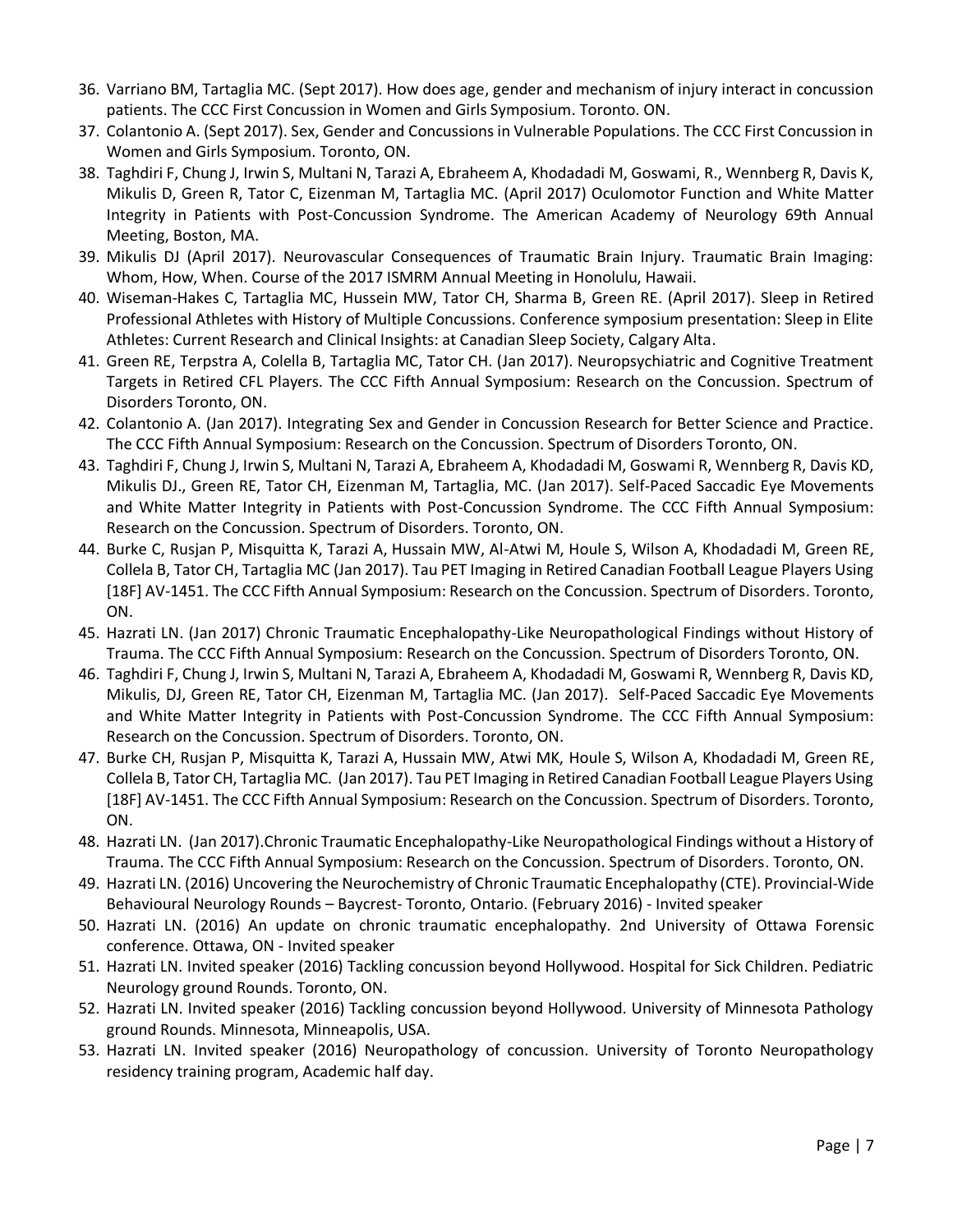- 36. Varriano BM, Tartaglia MC. (Sept 2017). How does age, gender and mechanism of injury interact in concussion patients. The CCC First Concussion in Women and Girls Symposium. Toronto. ON.
- 37. Colantonio A. (Sept 2017). Sex, Gender and Concussions in Vulnerable Populations. The CCC First Concussion in Women and Girls Symposium. Toronto, ON.
- 38. Taghdiri F, Chung J, Irwin S, Multani N, Tarazi A, Ebraheem A, Khodadadi M, Goswami, R., Wennberg R, Davis K, Mikulis D, Green R, Tator C, Eizenman M, Tartaglia MC. (April 2017) Oculomotor Function and White Matter Integrity in Patients with Post-Concussion Syndrome. The American Academy of Neurology 69th Annual Meeting, Boston, MA.
- 39. Mikulis DJ (April 2017). Neurovascular Consequences of Traumatic Brain Injury. Traumatic Brain Imaging: Whom, How, When. Course of the 2017 ISMRM Annual Meeting in Honolulu, Hawaii.
- 40. Wiseman-Hakes C, Tartaglia MC, Hussein MW, Tator CH, Sharma B, Green RE. (April 2017). Sleep in Retired Professional Athletes with History of Multiple Concussions. Conference symposium presentation: Sleep in Elite Athletes: Current Research and Clinical Insights: at Canadian Sleep Society, Calgary Alta.
- 41. Green RE, Terpstra A, Colella B, Tartaglia MC, Tator CH. (Jan 2017). Neuropsychiatric and Cognitive Treatment Targets in Retired CFL Players. The CCC Fifth Annual Symposium: Research on the Concussion. Spectrum of Disorders Toronto, ON.
- 42. Colantonio A. (Jan 2017). Integrating Sex and Gender in Concussion Research for Better Science and Practice. The CCC Fifth Annual Symposium: Research on the Concussion. Spectrum of Disorders Toronto, ON.
- 43. Taghdiri F, Chung J, Irwin S, Multani N, Tarazi A, Ebraheem A, Khodadadi M, Goswami R, Wennberg R, Davis KD, Mikulis DJ., Green RE, Tator CH, Eizenman M, Tartaglia, MC. (Jan 2017). Self-Paced Saccadic Eye Movements and White Matter Integrity in Patients with Post-Concussion Syndrome. The CCC Fifth Annual Symposium: Research on the Concussion. Spectrum of Disorders. Toronto, ON.
- 44. Burke C, Rusjan P, Misquitta K, Tarazi A, Hussain MW, Al-Atwi M, Houle S, Wilson A, Khodadadi M, Green RE, Collela B, Tator CH, Tartaglia MC (Jan 2017). Tau PET Imaging in Retired Canadian Football League Players Using [18F] AV-1451. The CCC Fifth Annual Symposium: Research on the Concussion. Spectrum of Disorders. Toronto, ON.
- 45. Hazrati LN. (Jan 2017) Chronic Traumatic Encephalopathy-Like Neuropathological Findings without History of Trauma. The CCC Fifth Annual Symposium: Research on the Concussion. Spectrum of Disorders Toronto, ON.
- 46. Taghdiri F, Chung J, Irwin S, Multani N, Tarazi A, Ebraheem A, Khodadadi M, Goswami R, Wennberg R, Davis KD, Mikulis, DJ, Green RE, Tator CH, Eizenman M, Tartaglia MC. (Jan 2017). Self-Paced Saccadic Eye Movements and White Matter Integrity in Patients with Post-Concussion Syndrome. The CCC Fifth Annual Symposium: Research on the Concussion. Spectrum of Disorders. Toronto, ON.
- 47. Burke CH, Rusjan P, Misquitta K, Tarazi A, Hussain MW, Atwi MK, Houle S, Wilson A, Khodadadi M, Green RE, Collela B, Tator CH, Tartaglia MC. (Jan 2017). Tau PET Imaging in Retired Canadian Football League Players Using [18F] AV-1451. The CCC Fifth Annual Symposium: Research on the Concussion. Spectrum of Disorders. Toronto, ON.
- 48. Hazrati LN. (Jan 2017).Chronic Traumatic Encephalopathy-Like Neuropathological Findings without a History of Trauma. The CCC Fifth Annual Symposium: Research on the Concussion. Spectrum of Disorders. Toronto, ON.
- 49. Hazrati LN. (2016) Uncovering the Neurochemistry of Chronic Traumatic Encephalopathy (CTE). Provincial-Wide Behavioural Neurology Rounds – Baycrest- Toronto, Ontario. (February 2016) - Invited speaker
- 50. Hazrati LN. (2016) An update on chronic traumatic encephalopathy. 2nd University of Ottawa Forensic conference. Ottawa, ON - Invited speaker
- 51. Hazrati LN. Invited speaker (2016) Tackling concussion beyond Hollywood. Hospital for Sick Children. Pediatric Neurology ground Rounds. Toronto, ON.
- 52. Hazrati LN. Invited speaker (2016) Tackling concussion beyond Hollywood. University of Minnesota Pathology ground Rounds. Minnesota, Minneapolis, USA.
- 53. Hazrati LN. Invited speaker (2016) Neuropathology of concussion. University of Toronto Neuropathology residency training program, Academic half day.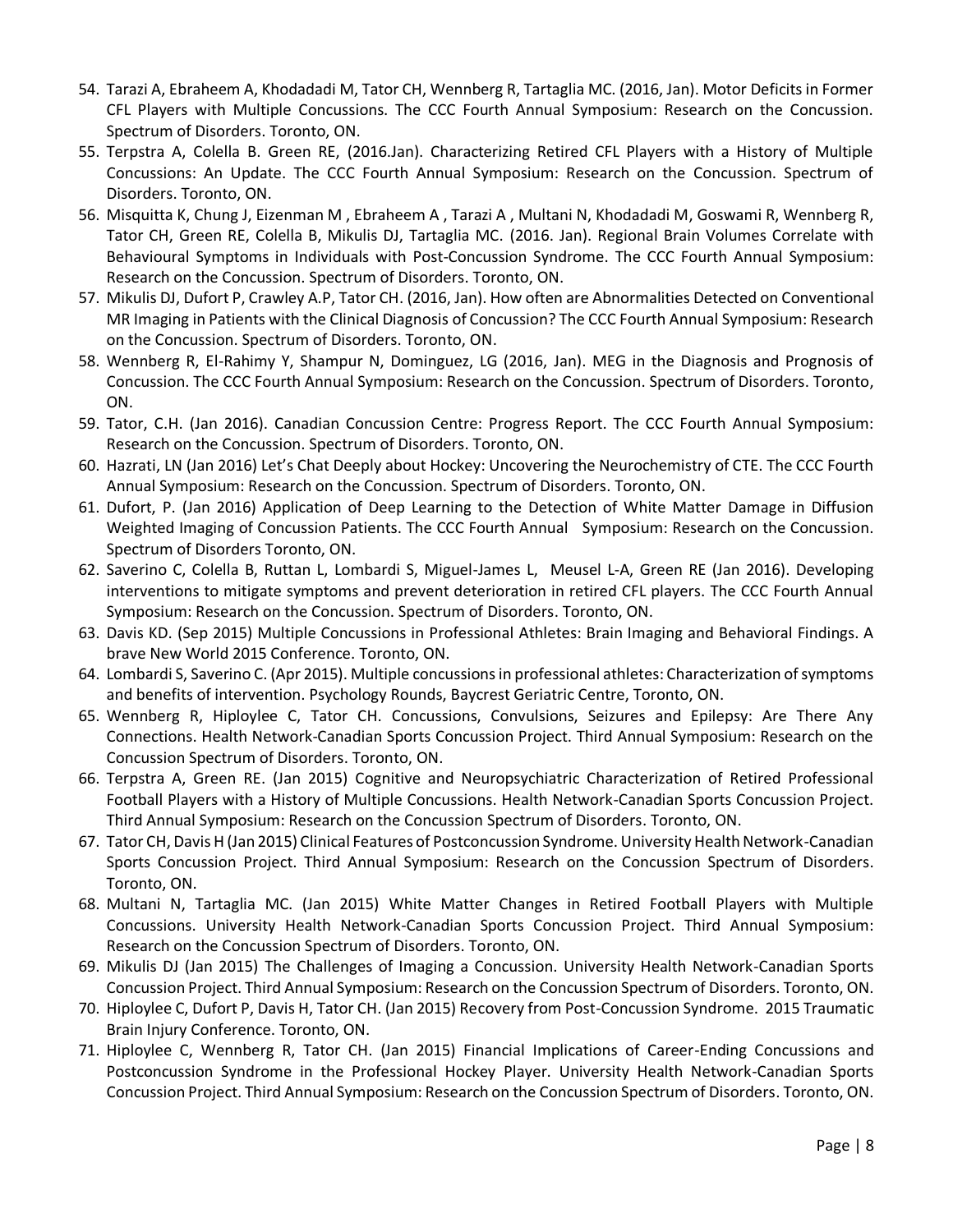- 54. Tarazi A, Ebraheem A, Khodadadi M, Tator CH, Wennberg R, Tartaglia MC. (2016, Jan). Motor Deficits in Former CFL Players with Multiple Concussions. The CCC Fourth Annual Symposium: Research on the Concussion. Spectrum of Disorders. Toronto, ON.
- 55. Terpstra A, Colella B. Green RE, (2016.Jan). Characterizing Retired CFL Players with a History of Multiple Concussions: An Update. The CCC Fourth Annual Symposium: Research on the Concussion. Spectrum of Disorders. Toronto, ON.
- 56. Misquitta K, Chung J, Eizenman M , Ebraheem A , Tarazi A , Multani N, Khodadadi M, Goswami R, Wennberg R, Tator CH, Green RE, Colella B, Mikulis DJ, Tartaglia MC. (2016. Jan). Regional Brain Volumes Correlate with Behavioural Symptoms in Individuals with Post-Concussion Syndrome. The CCC Fourth Annual Symposium: Research on the Concussion. Spectrum of Disorders. Toronto, ON.
- 57. Mikulis DJ, Dufort P, Crawley A.P, Tator CH. (2016, Jan). How often are Abnormalities Detected on Conventional MR Imaging in Patients with the Clinical Diagnosis of Concussion? The CCC Fourth Annual Symposium: Research on the Concussion. Spectrum of Disorders. Toronto, ON.
- 58. Wennberg R, El-Rahimy Y, Shampur N, Dominguez, LG (2016, Jan). MEG in the Diagnosis and Prognosis of Concussion. The CCC Fourth Annual Symposium: Research on the Concussion. Spectrum of Disorders. Toronto, ON.
- 59. Tator, C.H. (Jan 2016). Canadian Concussion Centre: Progress Report. The CCC Fourth Annual Symposium: Research on the Concussion. Spectrum of Disorders. Toronto, ON.
- 60. Hazrati, LN (Jan 2016) Let's Chat Deeply about Hockey: Uncovering the Neurochemistry of CTE. The CCC Fourth Annual Symposium: Research on the Concussion. Spectrum of Disorders. Toronto, ON.
- 61. Dufort, P. (Jan 2016) Application of Deep Learning to the Detection of White Matter Damage in Diffusion Weighted Imaging of Concussion Patients. The CCC Fourth Annual Symposium: Research on the Concussion. Spectrum of Disorders Toronto, ON.
- 62. Saverino C, Colella B, Ruttan L, Lombardi S, Miguel-James L, Meusel L-A, Green RE (Jan 2016). Developing interventions to mitigate symptoms and prevent deterioration in retired CFL players. The CCC Fourth Annual Symposium: Research on the Concussion. Spectrum of Disorders. Toronto, ON.
- 63. Davis KD. (Sep 2015) Multiple Concussions in Professional Athletes: Brain Imaging and Behavioral Findings. A brave New World 2015 Conference. Toronto, ON.
- 64. Lombardi S, Saverino C. (Apr 2015). Multiple concussions in professional athletes: Characterization of symptoms and benefits of intervention. Psychology Rounds, Baycrest Geriatric Centre, Toronto, ON.
- 65. Wennberg R, Hiploylee C, Tator CH. Concussions, Convulsions, Seizures and Epilepsy: Are There Any Connections. Health Network-Canadian Sports Concussion Project. Third Annual Symposium: Research on the Concussion Spectrum of Disorders. Toronto, ON.
- 66. Terpstra A, Green RE. (Jan 2015) Cognitive and Neuropsychiatric Characterization of Retired Professional Football Players with a History of Multiple Concussions. Health Network-Canadian Sports Concussion Project. Third Annual Symposium: Research on the Concussion Spectrum of Disorders. Toronto, ON.
- 67. Tator CH, Davis H (Jan 2015) Clinical Features of Postconcussion Syndrome. University Health Network-Canadian Sports Concussion Project. Third Annual Symposium: Research on the Concussion Spectrum of Disorders. Toronto, ON.
- 68. Multani N, Tartaglia MC. (Jan 2015) White Matter Changes in Retired Football Players with Multiple Concussions. University Health Network-Canadian Sports Concussion Project. Third Annual Symposium: Research on the Concussion Spectrum of Disorders. Toronto, ON.
- 69. Mikulis DJ (Jan 2015) The Challenges of Imaging a Concussion. University Health Network-Canadian Sports Concussion Project. Third Annual Symposium: Research on the Concussion Spectrum of Disorders. Toronto, ON.
- 70. Hiploylee C, Dufort P, Davis H, Tator CH. (Jan 2015) Recovery from Post-Concussion Syndrome. 2015 Traumatic Brain Injury Conference. Toronto, ON.
- 71. Hiploylee C, Wennberg R, Tator CH. (Jan 2015) Financial Implications of Career-Ending Concussions and Postconcussion Syndrome in the Professional Hockey Player. University Health Network-Canadian Sports Concussion Project. Third Annual Symposium: Research on the Concussion Spectrum of Disorders. Toronto, ON.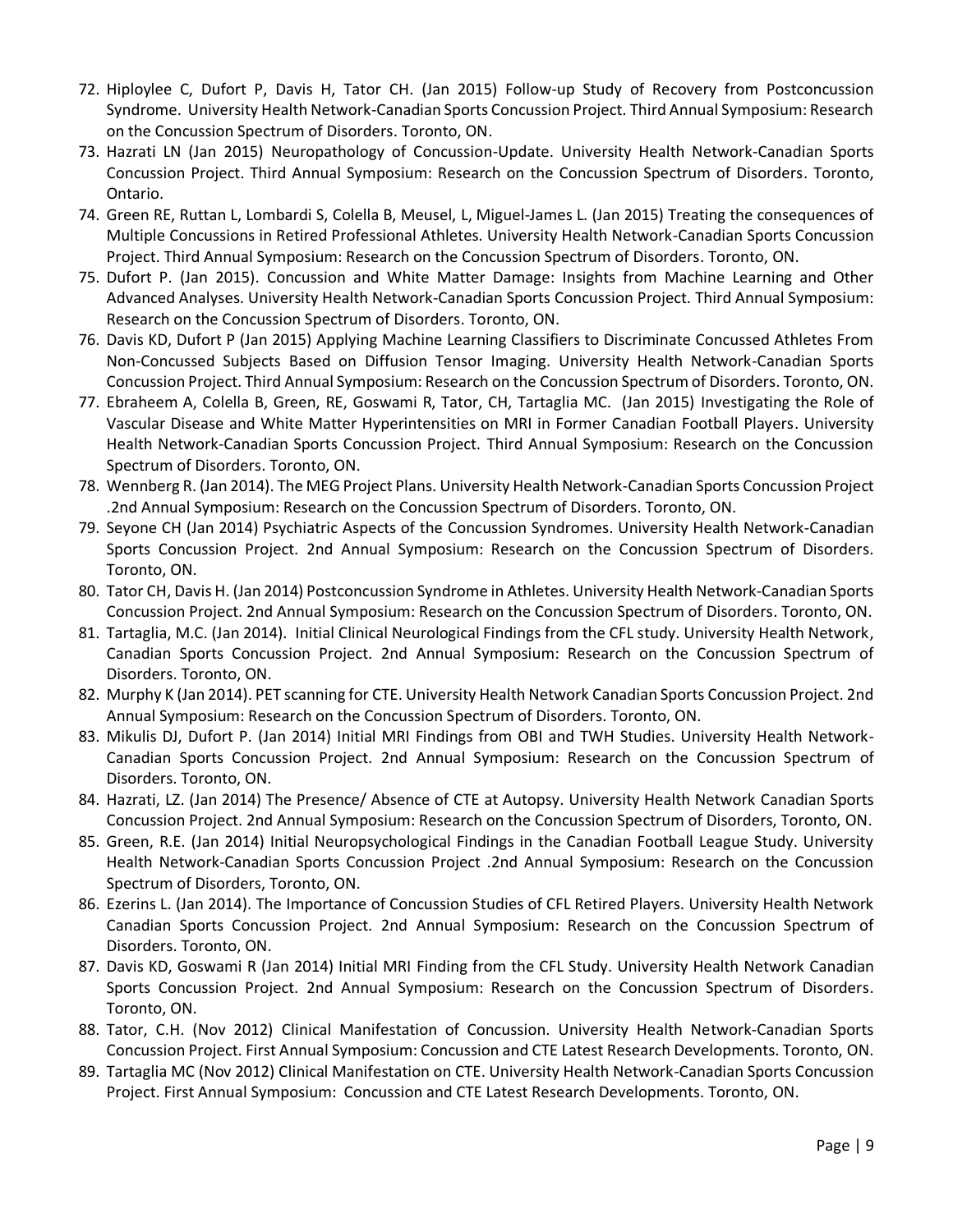- 72. Hiploylee C, Dufort P, Davis H, Tator CH. (Jan 2015) Follow-up Study of Recovery from Postconcussion Syndrome. University Health Network-Canadian Sports Concussion Project. Third Annual Symposium: Research on the Concussion Spectrum of Disorders. Toronto, ON.
- 73. Hazrati LN (Jan 2015) Neuropathology of Concussion-Update. University Health Network-Canadian Sports Concussion Project. Third Annual Symposium: Research on the Concussion Spectrum of Disorders. Toronto, Ontario.
- 74. Green RE, Ruttan L, Lombardi S, Colella B, Meusel, L, Miguel-James L. (Jan 2015) Treating the consequences of Multiple Concussions in Retired Professional Athletes. University Health Network-Canadian Sports Concussion Project. Third Annual Symposium: Research on the Concussion Spectrum of Disorders. Toronto, ON.
- 75. Dufort P. (Jan 2015). Concussion and White Matter Damage: Insights from Machine Learning and Other Advanced Analyses. University Health Network-Canadian Sports Concussion Project. Third Annual Symposium: Research on the Concussion Spectrum of Disorders. Toronto, ON.
- 76. Davis KD, Dufort P (Jan 2015) Applying Machine Learning Classifiers to Discriminate Concussed Athletes From Non-Concussed Subjects Based on Diffusion Tensor Imaging. University Health Network-Canadian Sports Concussion Project. Third Annual Symposium: Research on the Concussion Spectrum of Disorders. Toronto, ON.
- 77. Ebraheem A, Colella B, Green, RE, Goswami R, Tator, CH, Tartaglia MC. (Jan 2015) Investigating the Role of Vascular Disease and White Matter Hyperintensities on MRI in Former Canadian Football Players. University Health Network-Canadian Sports Concussion Project. Third Annual Symposium: Research on the Concussion Spectrum of Disorders. Toronto, ON.
- 78. Wennberg R. (Jan 2014). The MEG Project Plans. University Health Network-Canadian Sports Concussion Project .2nd Annual Symposium: Research on the Concussion Spectrum of Disorders. Toronto, ON.
- 79. Seyone CH (Jan 2014) Psychiatric Aspects of the Concussion Syndromes. University Health Network-Canadian Sports Concussion Project. 2nd Annual Symposium: Research on the Concussion Spectrum of Disorders. Toronto, ON.
- 80. Tator CH, Davis H. (Jan 2014) Postconcussion Syndrome in Athletes. University Health Network-Canadian Sports Concussion Project. 2nd Annual Symposium: Research on the Concussion Spectrum of Disorders. Toronto, ON.
- 81. Tartaglia, M.C. (Jan 2014). Initial Clinical Neurological Findings from the CFL study. University Health Network, Canadian Sports Concussion Project. 2nd Annual Symposium: Research on the Concussion Spectrum of Disorders. Toronto, ON.
- 82. Murphy K (Jan 2014). PET scanning for CTE. University Health Network Canadian Sports Concussion Project. 2nd Annual Symposium: Research on the Concussion Spectrum of Disorders. Toronto, ON.
- 83. Mikulis DJ, Dufort P. (Jan 2014) Initial MRI Findings from OBI and TWH Studies. University Health Network-Canadian Sports Concussion Project. 2nd Annual Symposium: Research on the Concussion Spectrum of Disorders. Toronto, ON.
- 84. Hazrati, LZ. (Jan 2014) The Presence/ Absence of CTE at Autopsy. University Health Network Canadian Sports Concussion Project. 2nd Annual Symposium: Research on the Concussion Spectrum of Disorders, Toronto, ON.
- 85. Green, R.E. (Jan 2014) Initial Neuropsychological Findings in the Canadian Football League Study. University Health Network-Canadian Sports Concussion Project .2nd Annual Symposium: Research on the Concussion Spectrum of Disorders, Toronto, ON.
- 86. Ezerins L. (Jan 2014). The Importance of Concussion Studies of CFL Retired Players. University Health Network Canadian Sports Concussion Project. 2nd Annual Symposium: Research on the Concussion Spectrum of Disorders. Toronto, ON.
- 87. Davis KD, Goswami R (Jan 2014) Initial MRI Finding from the CFL Study. University Health Network Canadian Sports Concussion Project. 2nd Annual Symposium: Research on the Concussion Spectrum of Disorders. Toronto, ON.
- 88. Tator, C.H. (Nov 2012) Clinical Manifestation of Concussion. University Health Network-Canadian Sports Concussion Project. First Annual Symposium: Concussion and CTE Latest Research Developments. Toronto, ON.
- 89. Tartaglia MC (Nov 2012) Clinical Manifestation on CTE. University Health Network-Canadian Sports Concussion Project. First Annual Symposium: Concussion and CTE Latest Research Developments. Toronto, ON.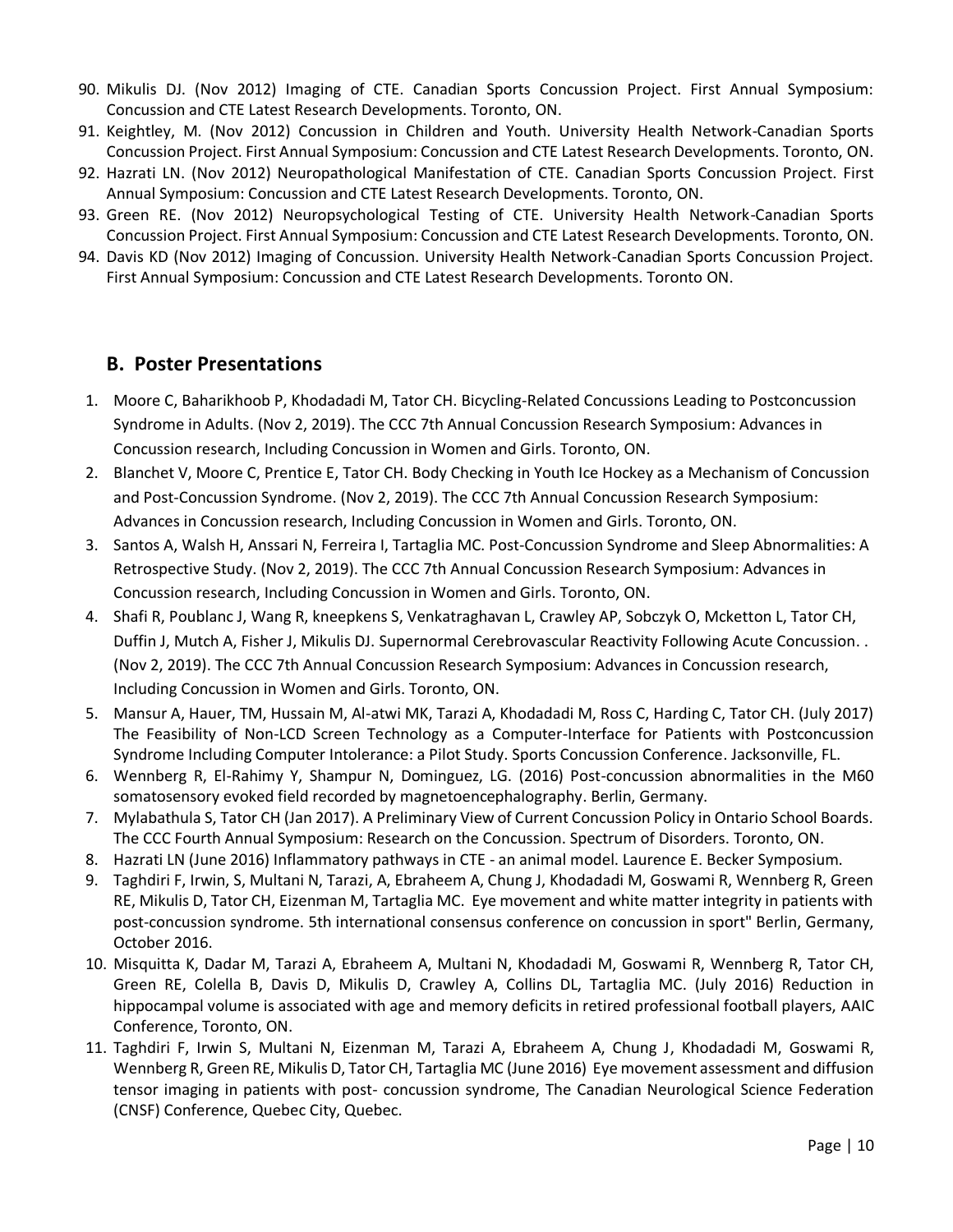- 90. Mikulis DJ. (Nov 2012) Imaging of CTE. Canadian Sports Concussion Project. First Annual Symposium: Concussion and CTE Latest Research Developments. Toronto, ON.
- 91. Keightley, M. (Nov 2012) Concussion in Children and Youth. University Health Network-Canadian Sports Concussion Project. First Annual Symposium: Concussion and CTE Latest Research Developments. Toronto, ON.
- 92. Hazrati LN. (Nov 2012) Neuropathological Manifestation of CTE. Canadian Sports Concussion Project. First Annual Symposium: Concussion and CTE Latest Research Developments. Toronto, ON.
- 93. Green RE. (Nov 2012) Neuropsychological Testing of CTE. University Health Network-Canadian Sports Concussion Project. First Annual Symposium: Concussion and CTE Latest Research Developments. Toronto, ON.
- 94. Davis KD (Nov 2012) Imaging of Concussion. University Health Network-Canadian Sports Concussion Project. First Annual Symposium: Concussion and CTE Latest Research Developments. Toronto ON.

#### **B. Poster Presentations**

- 1. Moore C, Baharikhoob P, Khodadadi M, Tator CH. Bicycling-Related Concussions Leading to Postconcussion Syndrome in Adults. (Nov 2, 2019). The CCC 7th Annual Concussion Research Symposium: Advances in Concussion research, Including Concussion in Women and Girls. Toronto, ON.
- 2. Blanchet V, Moore C, Prentice E, Tator CH. Body Checking in Youth Ice Hockey as a Mechanism of Concussion and Post-Concussion Syndrome. (Nov 2, 2019). The CCC 7th Annual Concussion Research Symposium: Advances in Concussion research, Including Concussion in Women and Girls. Toronto, ON.
- 3. Santos A, Walsh H, Anssari N, Ferreira I, Tartaglia MC. Post-Concussion Syndrome and Sleep Abnormalities: A Retrospective Study. (Nov 2, 2019). The CCC 7th Annual Concussion Research Symposium: Advances in Concussion research, Including Concussion in Women and Girls. Toronto, ON.
- 4. Shafi R, Poublanc J, Wang R, kneepkens S, Venkatraghavan L, Crawley AP, Sobczyk O, Mcketton L, Tator CH, Duffin J, Mutch A, Fisher J, Mikulis DJ. Supernormal Cerebrovascular Reactivity Following Acute Concussion. . (Nov 2, 2019). The CCC 7th Annual Concussion Research Symposium: Advances in Concussion research, Including Concussion in Women and Girls. Toronto, ON.
- 5. Mansur A, Hauer, TM, Hussain M, Al-atwi MK, Tarazi A, Khodadadi M, Ross C, Harding C, Tator CH. (July 2017) The Feasibility of Non-LCD Screen Technology as a Computer-Interface for Patients with Postconcussion Syndrome Including Computer Intolerance: a Pilot Study. Sports Concussion Conference. Jacksonville, FL.
- 6. Wennberg R, El-Rahimy Y, Shampur N, Dominguez, LG. (2016) Post-concussion abnormalities in the M60 somatosensory evoked field recorded by magnetoencephalography. Berlin, Germany.
- 7. Mylabathula S, Tator CH (Jan 2017). A Preliminary View of Current Concussion Policy in Ontario School Boards. The CCC Fourth Annual Symposium: Research on the Concussion. Spectrum of Disorders. Toronto, ON.
- 8. Hazrati LN (June 2016) Inflammatory pathways in CTE an animal model. Laurence E. Becker Symposium.
- 9. Taghdiri F, Irwin, S, Multani N, Tarazi, A, Ebraheem A, Chung J, Khodadadi M, Goswami R, Wennberg R, Green RE, Mikulis D, Tator CH, Eizenman M, Tartaglia MC. Eye movement and white matter integrity in patients with post-concussion syndrome. 5th international consensus conference on concussion in sport" Berlin, Germany, October 2016.
- 10. Misquitta K, Dadar M, Tarazi A, Ebraheem A, Multani N, Khodadadi M, Goswami R, Wennberg R, Tator CH, Green RE, Colella B, Davis D, Mikulis D, Crawley A, Collins DL, Tartaglia MC. (July 2016) Reduction in hippocampal volume is associated with age and memory deficits in retired professional football players, AAIC Conference, Toronto, ON.
- 11. Taghdiri F, Irwin S, Multani N, Eizenman M, Tarazi A, Ebraheem A, Chung J, Khodadadi M, Goswami R, Wennberg R, Green RE, Mikulis D, Tator CH, Tartaglia MC (June 2016) Eye movement assessment and diffusion tensor imaging in patients with post- concussion syndrome, The Canadian Neurological Science Federation (CNSF) Conference, Quebec City, Quebec.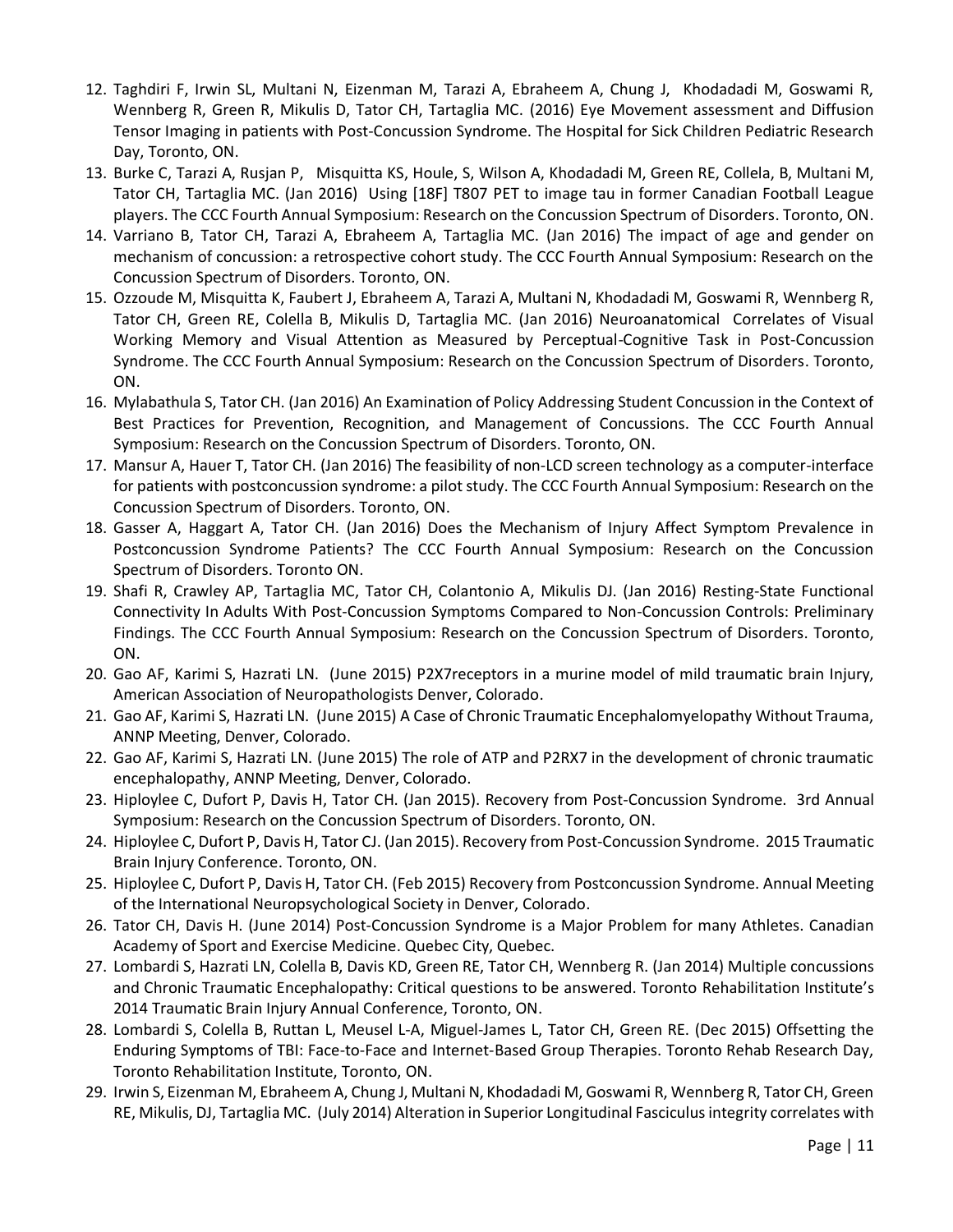- 12. Taghdiri F, Irwin SL, Multani N, Eizenman M, Tarazi A, Ebraheem A, Chung J, Khodadadi M, Goswami R, Wennberg R, Green R, Mikulis D, Tator CH, Tartaglia MC. (2016) Eye Movement assessment and Diffusion Tensor Imaging in patients with Post-Concussion Syndrome. The Hospital for Sick Children Pediatric Research Day, Toronto, ON.
- 13. Burke C, Tarazi A, Rusjan P, Misquitta KS, Houle, S, Wilson A, Khodadadi M, Green RE, Collela, B, Multani M, Tator CH, Tartaglia MC. (Jan 2016) Using [18F] T807 PET to image tau in former Canadian Football League players. The CCC Fourth Annual Symposium: Research on the Concussion Spectrum of Disorders. Toronto, ON.
- 14. Varriano B, Tator CH, Tarazi A, Ebraheem A, Tartaglia MC. (Jan 2016) The impact of age and gender on mechanism of concussion: a retrospective cohort study. The CCC Fourth Annual Symposium: Research on the Concussion Spectrum of Disorders. Toronto, ON.
- 15. Ozzoude M, Misquitta K, Faubert J, Ebraheem A, Tarazi A, Multani N, Khodadadi M, Goswami R, Wennberg R, Tator CH, Green RE, Colella B, Mikulis D, Tartaglia MC. (Jan 2016) Neuroanatomical Correlates of Visual Working Memory and Visual Attention as Measured by Perceptual-Cognitive Task in Post-Concussion Syndrome. The CCC Fourth Annual Symposium: Research on the Concussion Spectrum of Disorders. Toronto, ON.
- 16. Mylabathula S, Tator CH. (Jan 2016) An Examination of Policy Addressing Student Concussion in the Context of Best Practices for Prevention, Recognition, and Management of Concussions. The CCC Fourth Annual Symposium: Research on the Concussion Spectrum of Disorders. Toronto, ON.
- 17. Mansur A, Hauer T, Tator CH. (Jan 2016) The feasibility of non-LCD screen technology as a computer-interface for patients with postconcussion syndrome: a pilot study. The CCC Fourth Annual Symposium: Research on the Concussion Spectrum of Disorders. Toronto, ON.
- 18. Gasser A, Haggart A, Tator CH. (Jan 2016) Does the Mechanism of Injury Affect Symptom Prevalence in Postconcussion Syndrome Patients? The CCC Fourth Annual Symposium: Research on the Concussion Spectrum of Disorders. Toronto ON.
- 19. Shafi R, Crawley AP, Tartaglia MC, Tator CH, Colantonio A, Mikulis DJ. (Jan 2016) Resting-State Functional Connectivity In Adults With Post-Concussion Symptoms Compared to Non-Concussion Controls: Preliminary Findings. The CCC Fourth Annual Symposium: Research on the Concussion Spectrum of Disorders. Toronto, ON.
- 20. Gao AF, Karimi S, Hazrati LN. (June 2015) P2X7receptors in a murine model of mild traumatic brain Injury, American Association of Neuropathologists Denver, Colorado.
- 21. Gao AF, Karimi S, Hazrati LN. (June 2015) A Case of Chronic Traumatic Encephalomyelopathy Without Trauma, ANNP Meeting, Denver, Colorado.
- 22. Gao AF, Karimi S, Hazrati LN. (June 2015) The role of ATP and P2RX7 in the development of chronic traumatic encephalopathy, ANNP Meeting, Denver, Colorado.
- 23. Hiploylee C, Dufort P, Davis H, Tator CH. (Jan 2015). Recovery from Post-Concussion Syndrome. 3rd Annual Symposium: Research on the Concussion Spectrum of Disorders. Toronto, ON.
- 24. Hiploylee C, Dufort P, Davis H, Tator CJ. (Jan 2015). Recovery from Post-Concussion Syndrome. 2015 Traumatic Brain Injury Conference. Toronto, ON.
- 25. Hiploylee C, Dufort P, Davis H, Tator CH. (Feb 2015) Recovery from Postconcussion Syndrome. Annual Meeting of the International Neuropsychological Society in Denver, Colorado.
- 26. Tator CH, Davis H. (June 2014) Post-Concussion Syndrome is a Major Problem for many Athletes. Canadian Academy of Sport and Exercise Medicine. Quebec City, Quebec.
- 27. Lombardi S, Hazrati LN, Colella B, Davis KD, Green RE, Tator CH, Wennberg R. (Jan 2014) Multiple concussions and Chronic Traumatic Encephalopathy: Critical questions to be answered. Toronto Rehabilitation Institute's 2014 Traumatic Brain Injury Annual Conference, Toronto, ON.
- 28. Lombardi S, Colella B, Ruttan L, Meusel L-A, Miguel-James L, Tator CH, Green RE. (Dec 2015) Offsetting the Enduring Symptoms of TBI: Face-to-Face and Internet-Based Group Therapies. Toronto Rehab Research Day, Toronto Rehabilitation Institute, Toronto, ON.
- 29. Irwin S, Eizenman M, Ebraheem A, Chung J, Multani N, Khodadadi M, Goswami R, Wennberg R, Tator CH, Green RE, Mikulis, DJ, Tartaglia MC. (July 2014) Alteration in Superior Longitudinal Fasciculus integrity correlates with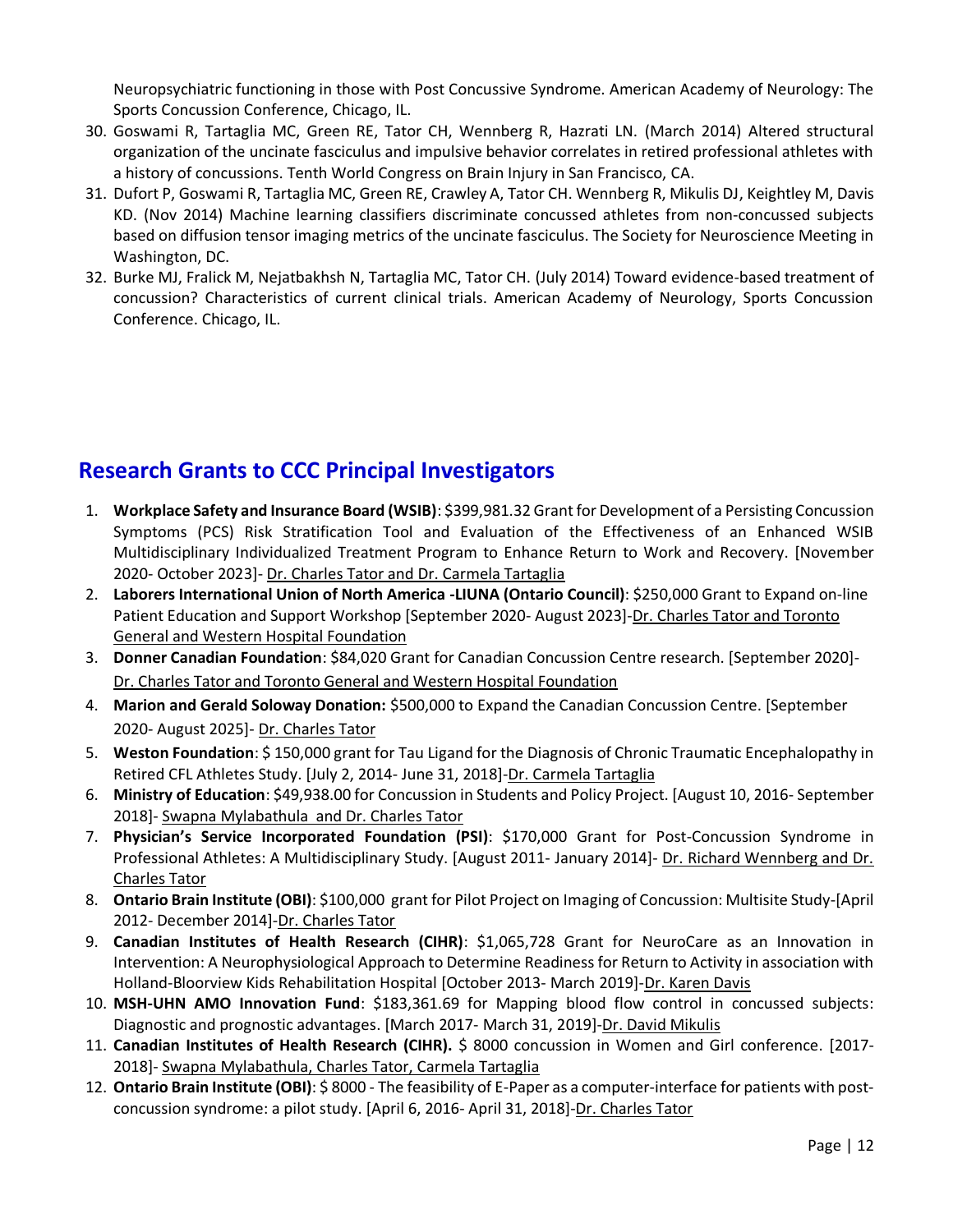Neuropsychiatric functioning in those with Post Concussive Syndrome. American Academy of Neurology: The Sports Concussion Conference, Chicago, IL.

- 30. Goswami R, Tartaglia MC, Green RE, Tator CH, Wennberg R, Hazrati LN. (March 2014) Altered structural organization of the uncinate fasciculus and impulsive behavior correlates in retired professional athletes with a history of concussions. Tenth World Congress on Brain Injury in San Francisco, CA.
- 31. Dufort P, Goswami R, Tartaglia MC, Green RE, Crawley A, Tator CH. Wennberg R, Mikulis DJ, Keightley M, Davis KD. (Nov 2014) Machine learning classifiers discriminate concussed athletes from non-concussed subjects based on diffusion tensor imaging metrics of the uncinate fasciculus. The Society for Neuroscience Meeting in Washington, DC.
- 32. Burke MJ, Fralick M, Nejatbakhsh N, Tartaglia MC, Tator CH. (July 2014) Toward evidence-based treatment of concussion? Characteristics of current clinical trials. American Academy of Neurology, Sports Concussion Conference. Chicago, IL.

### **Research Grants to CCC Principal Investigators**

- 1. **Workplace Safety and Insurance Board (WSIB)**: \$399,981.32 Grant for Development of a Persisting Concussion Symptoms (PCS) Risk Stratification Tool and Evaluation of the Effectiveness of an Enhanced WSIB Multidisciplinary Individualized Treatment Program to Enhance Return to Work and Recovery. [November 2020- October 2023]- Dr. Charles Tator and Dr. Carmela Tartaglia
- 2. **Laborers International Union of North America -LIUNA (Ontario Council)**: \$250,000 Grant to Expand on-line Patient Education and Support Workshop [September 2020- August 2023]-Dr. Charles Tator and Toronto General and Western Hospital Foundation
- 3. **Donner Canadian Foundation**: \$84,020 Grant for Canadian Concussion Centre research. [September 2020]- Dr. Charles Tator and Toronto General and Western Hospital Foundation
- 4. **Marion and Gerald Soloway Donation:** \$500,000 to Expand the Canadian Concussion Centre. [September 2020- August 2025]- Dr. Charles Tator
- 5. **Weston Foundation**: \$ 150,000 grant for Tau Ligand for the Diagnosis of Chronic Traumatic Encephalopathy in Retired CFL Athletes Study. [July 2, 2014- June 31, 2018]-Dr. Carmela Tartaglia
- 6. **Ministry of Education**: \$49,938.00 for Concussion in Students and Policy Project. [August 10, 2016- September 2018]- Swapna Mylabathula and Dr. Charles Tator
- 7. **Physician's Service Incorporated Foundation (PSI)**: \$170,000 Grant for Post-Concussion Syndrome in Professional Athletes: A Multidisciplinary Study. [August 2011- January 2014]- Dr. Richard Wennberg and Dr. Charles Tator
- 8. **Ontario Brain Institute (OBI)**: \$100,000 grant for Pilot Project on Imaging of Concussion: Multisite Study-[April 2012- December 2014]-Dr. Charles Tator
- 9. **Canadian Institutes of Health Research (CIHR)**: \$1,065,728 Grant for NeuroCare as an Innovation in Intervention: A Neurophysiological Approach to Determine Readiness for Return to Activity in association with Holland-Bloorview Kids Rehabilitation Hospital [October 2013- March 2019]-Dr. Karen Davis
- 10. **MSH-UHN AMO Innovation Fund**: \$183,361.69 for Mapping blood flow control in concussed subjects: Diagnostic and prognostic advantages. [March 2017- March 31, 2019]-Dr. David Mikulis
- 11. **Canadian Institutes of Health Research (CIHR).** \$ 8000 concussion in Women and Girl conference. [2017- 2018]- Swapna Mylabathula, Charles Tator, Carmela Tartaglia
- 12. **Ontario Brain Institute (OBI)**: \$ 8000 The feasibility of E-Paper as a computer-interface for patients with postconcussion syndrome: a pilot study. [April 6, 2016- April 31, 2018]-Dr. Charles Tator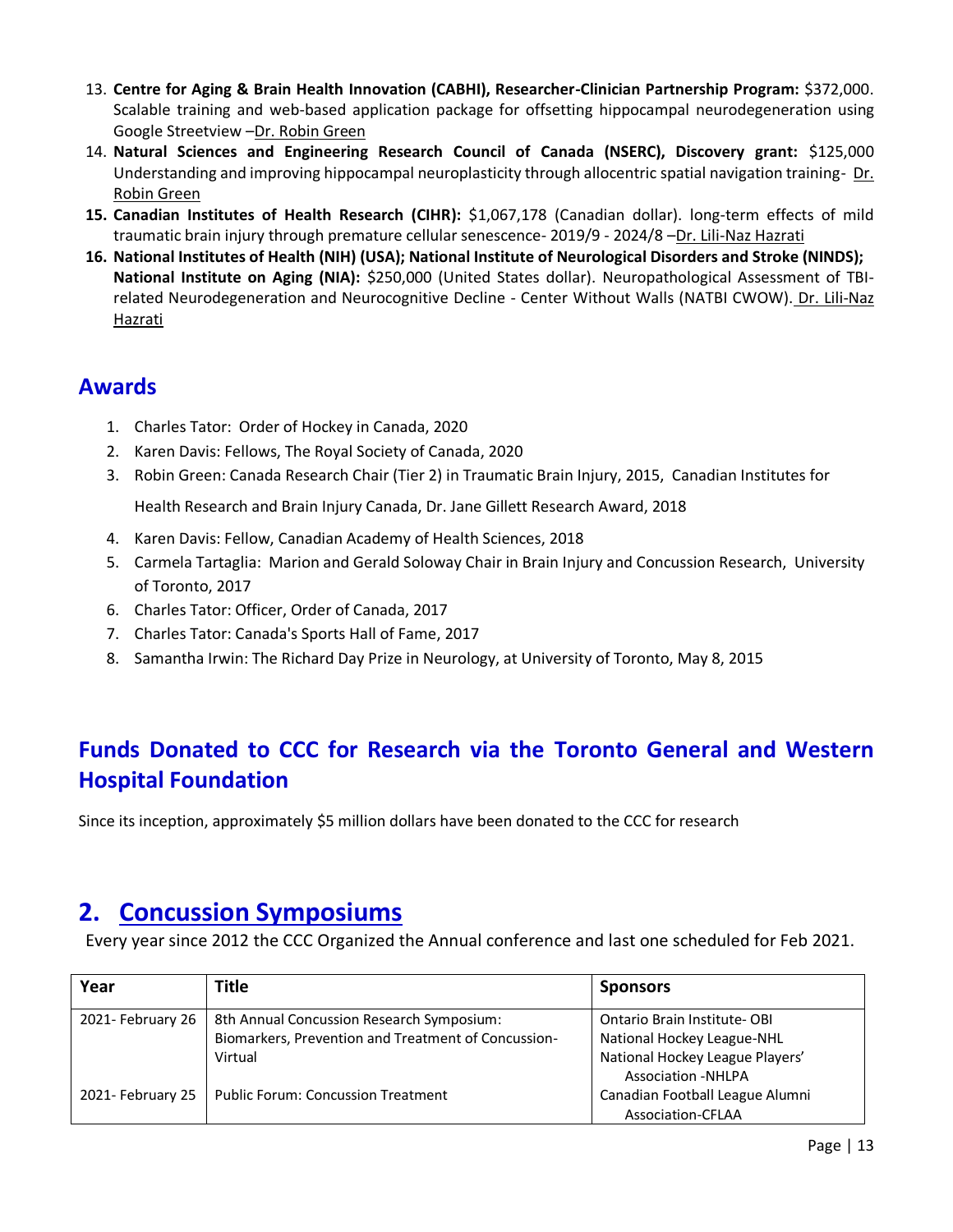- 13. **Centre for Aging & Brain Health Innovation (CABHI), Researcher-Clinician Partnership Program:** \$372,000. Scalable training and web-based application package for offsetting hippocampal neurodegeneration using Google Streetview –Dr. Robin Green
- 14. **Natural Sciences and Engineering Research Council of Canada (NSERC), Discovery grant:** \$125,000 Understanding and improving hippocampal neuroplasticity through allocentric spatial navigation training- Dr. Robin Green
- **15. Canadian Institutes of Health Research (CIHR):** \$1,067,178 (Canadian dollar). long-term effects of mild traumatic brain injury through premature cellular senescence- 2019/9 - 2024/8 –Dr. Lili-Naz Hazrati
- **16. National Institutes of Health (NIH) (USA); National Institute of Neurological Disorders and Stroke (NINDS); National Institute on Aging (NIA):** \$250,000 (United States dollar). Neuropathological Assessment of TBIrelated Neurodegeneration and Neurocognitive Decline - Center Without Walls (NATBI CWOW). Dr. Lili-Naz Hazrati

### **Awards**

- 1. Charles Tator: Order of Hockey in Canada, 2020
- 2. Karen Davis: Fellows, The Royal Society of Canada, 2020
- 3. Robin Green: Canada Research Chair (Tier 2) in Traumatic Brain Injury, 2015, Canadian Institutes for Health Research and Brain Injury Canada, Dr. Jane Gillett Research Award, 2018
- 4. Karen Davis: Fellow, Canadian Academy of Health Sciences, 2018
- 5. Carmela Tartaglia: Marion and Gerald Soloway Chair in Brain Injury and Concussion Research, University of Toronto, 2017
- 6. Charles Tator: Officer, Order of Canada, 2017
- 7. Charles Tator: Canada's Sports Hall of Fame, 2017
- 8. Samantha Irwin: The Richard Day Prize in Neurology, at University of Toronto, May 8, 2015

### **Funds Donated to CCC for Research via the Toronto General and Western Hospital Foundation**

Since its inception, approximately \$5 million dollars have been donated to the CCC for research

## **2. Concussion Symposiums**

Every year since 2012 the CCC Organized the Annual conference and last one scheduled for Feb 2021.

| Year              | Title                                               | <b>Sponsors</b>                 |
|-------------------|-----------------------------------------------------|---------------------------------|
| 2021- February 26 | 8th Annual Concussion Research Symposium:           | Ontario Brain Institute-OBI     |
|                   | Biomarkers, Prevention and Treatment of Concussion- | National Hockey League-NHL      |
|                   | Virtual                                             | National Hockey League Players' |
|                   |                                                     | <b>Association -NHLPA</b>       |
| 2021- February 25 | <b>Public Forum: Concussion Treatment</b>           | Canadian Football League Alumni |
|                   |                                                     | <b>Association-CFLAA</b>        |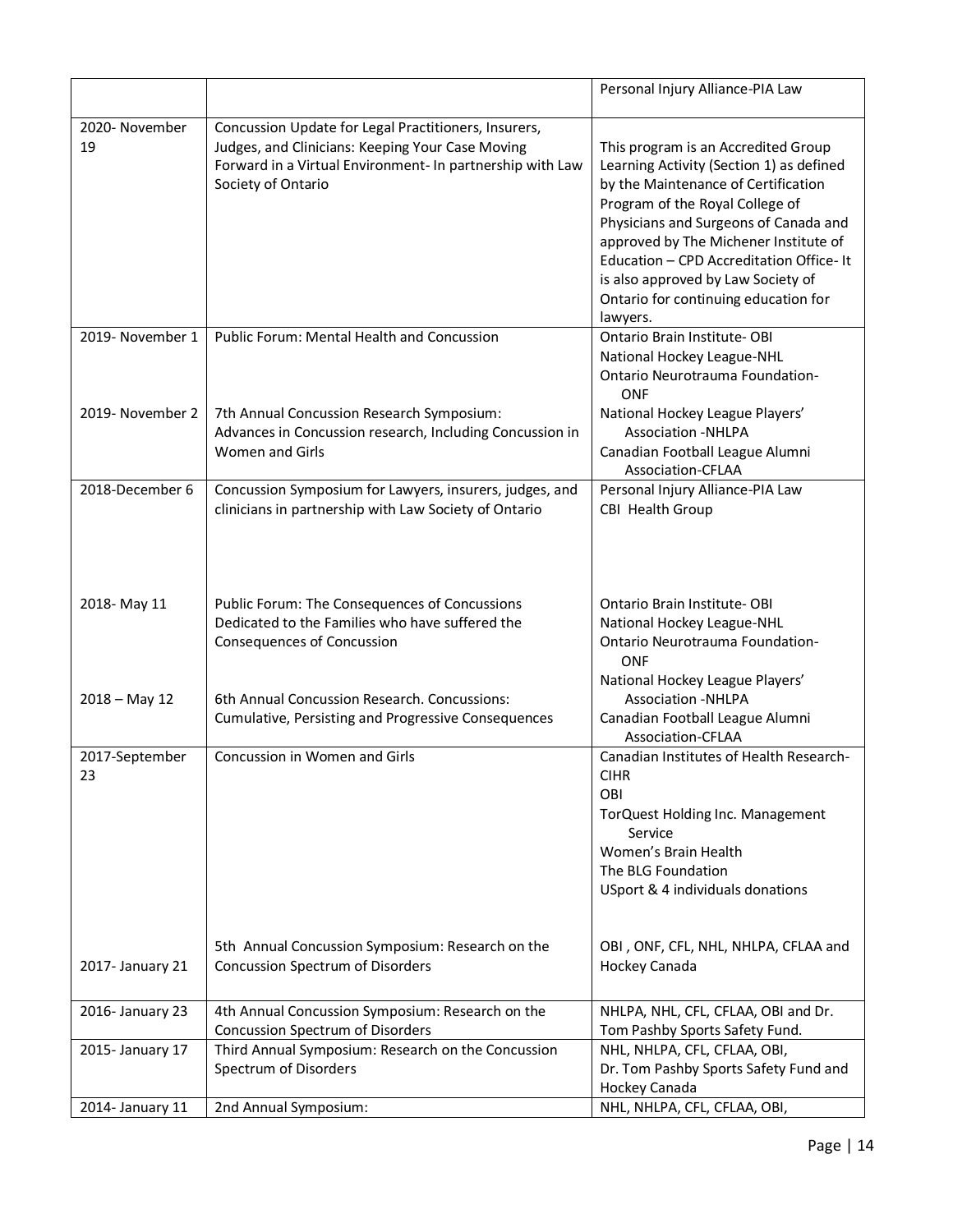|                      |                                                                                                                                                                                             | Personal Injury Alliance-PIA Law                                                                                                                                                                                                                                                                                                                                                 |
|----------------------|---------------------------------------------------------------------------------------------------------------------------------------------------------------------------------------------|----------------------------------------------------------------------------------------------------------------------------------------------------------------------------------------------------------------------------------------------------------------------------------------------------------------------------------------------------------------------------------|
| 2020- November<br>19 | Concussion Update for Legal Practitioners, Insurers,<br>Judges, and Clinicians: Keeping Your Case Moving<br>Forward in a Virtual Environment- In partnership with Law<br>Society of Ontario | This program is an Accredited Group<br>Learning Activity (Section 1) as defined<br>by the Maintenance of Certification<br>Program of the Royal College of<br>Physicians and Surgeons of Canada and<br>approved by The Michener Institute of<br>Education - CPD Accreditation Office-It<br>is also approved by Law Society of<br>Ontario for continuing education for<br>lawyers. |
| 2019- November 1     | <b>Public Forum: Mental Health and Concussion</b>                                                                                                                                           | Ontario Brain Institute-OBI<br>National Hockey League-NHL<br>Ontario Neurotrauma Foundation-<br><b>ONF</b>                                                                                                                                                                                                                                                                       |
| 2019- November 2     | 7th Annual Concussion Research Symposium:<br>Advances in Concussion research, Including Concussion in<br>Women and Girls                                                                    | National Hockey League Players'<br><b>Association -NHLPA</b><br>Canadian Football League Alumni<br><b>Association-CFLAA</b>                                                                                                                                                                                                                                                      |
| 2018-December 6      | Concussion Symposium for Lawyers, insurers, judges, and<br>clinicians in partnership with Law Society of Ontario                                                                            | Personal Injury Alliance-PIA Law<br>CBI Health Group                                                                                                                                                                                                                                                                                                                             |
| 2018-May 11          | Public Forum: The Consequences of Concussions<br>Dedicated to the Families who have suffered the<br><b>Consequences of Concussion</b>                                                       | Ontario Brain Institute-OBI<br>National Hockey League-NHL<br>Ontario Neurotrauma Foundation-<br>ONF<br>National Hockey League Players'                                                                                                                                                                                                                                           |
| $2018 - May 12$      | 6th Annual Concussion Research. Concussions:<br>Cumulative, Persisting and Progressive Consequences                                                                                         | <b>Association -NHLPA</b><br>Canadian Football League Alumni<br>Association-CFLAA                                                                                                                                                                                                                                                                                                |
| 2017-September<br>23 | Concussion in Women and Girls                                                                                                                                                               | Canadian Institutes of Health Research-<br><b>CIHR</b><br>OBI<br>TorQuest Holding Inc. Management<br>Service<br>Women's Brain Health<br>The BLG Foundation<br>USport & 4 individuals donations                                                                                                                                                                                   |
| 2017- January 21     | 5th Annual Concussion Symposium: Research on the<br><b>Concussion Spectrum of Disorders</b>                                                                                                 | OBI, ONF, CFL, NHL, NHLPA, CFLAA and<br>Hockey Canada                                                                                                                                                                                                                                                                                                                            |
| 2016- January 23     | 4th Annual Concussion Symposium: Research on the<br><b>Concussion Spectrum of Disorders</b>                                                                                                 | NHLPA, NHL, CFL, CFLAA, OBI and Dr.<br>Tom Pashby Sports Safety Fund.                                                                                                                                                                                                                                                                                                            |
| 2015- January 17     | Third Annual Symposium: Research on the Concussion<br>Spectrum of Disorders                                                                                                                 | NHL, NHLPA, CFL, CFLAA, OBI,<br>Dr. Tom Pashby Sports Safety Fund and<br>Hockey Canada                                                                                                                                                                                                                                                                                           |
| 2014- January 11     | 2nd Annual Symposium:                                                                                                                                                                       | NHL, NHLPA, CFL, CFLAA, OBI,                                                                                                                                                                                                                                                                                                                                                     |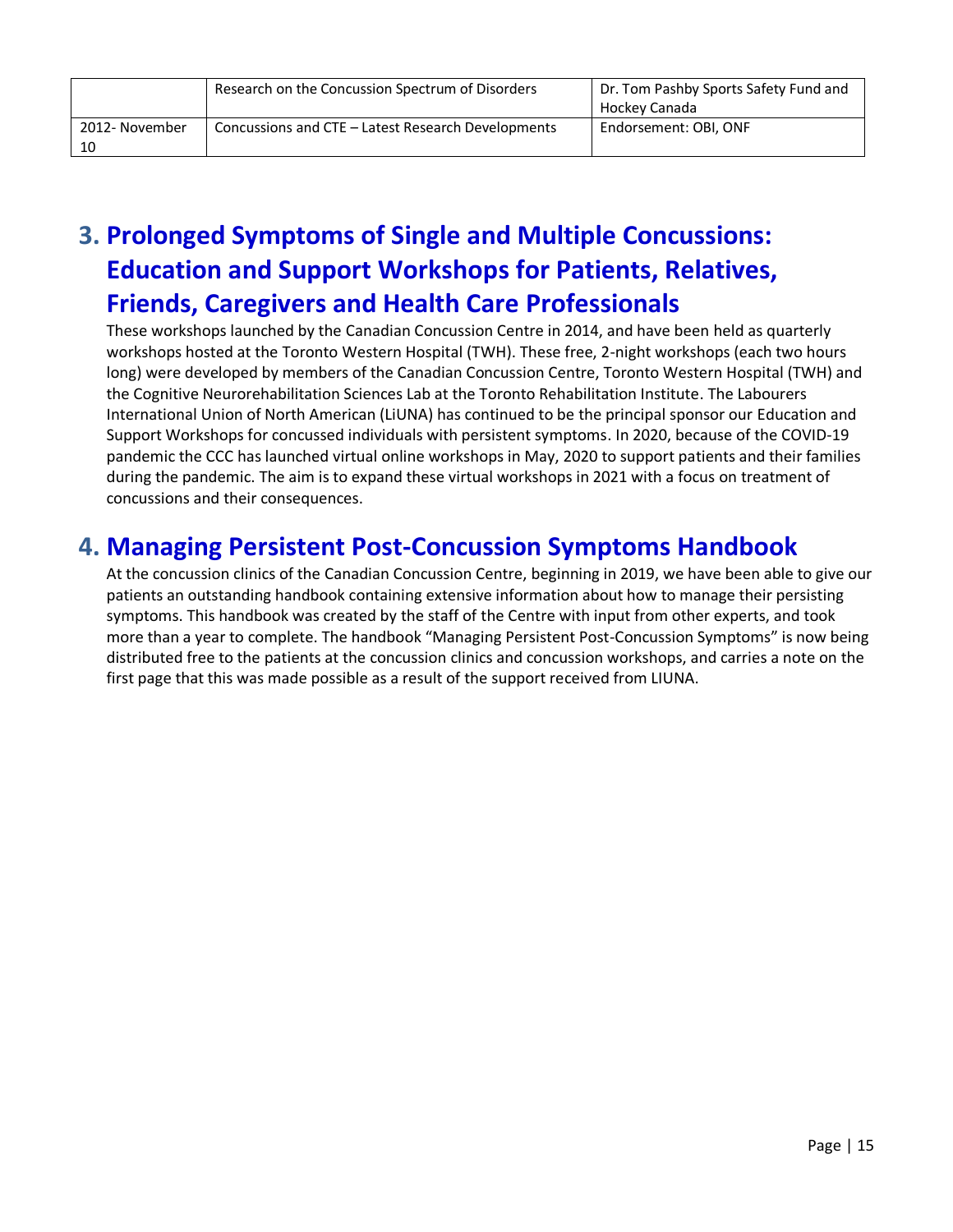|                | Research on the Concussion Spectrum of Disorders   | Dr. Tom Pashby Sports Safety Fund and<br>Hockey Canada |
|----------------|----------------------------------------------------|--------------------------------------------------------|
| 2012- November | Concussions and CTE – Latest Research Developments | Endorsement: OBI, ONF                                  |
| 10             |                                                    |                                                        |

## **3. Prolonged Symptoms of Single and Multiple Concussions: Education and Support Workshops for Patients, Relatives, Friends, Caregivers and Health Care Professionals**

These workshops launched by the Canadian Concussion Centre in 2014, and have been held as quarterly workshops hosted at the Toronto Western Hospital (TWH). These free, 2-night workshops (each two hours long) were developed by members of the Canadian Concussion Centre, Toronto Western Hospital (TWH) and the Cognitive Neurorehabilitation Sciences Lab at the Toronto Rehabilitation Institute. The Labourers International Union of North American (LiUNA) has continued to be the principal sponsor our Education and Support Workshops for concussed individuals with persistent symptoms. In 2020, because of the COVID-19 pandemic the CCC has launched virtual online workshops in May, 2020 to support patients and their families during the pandemic. The aim is to expand these virtual workshops in 2021 with a focus on treatment of concussions and their consequences.

### **4. Managing Persistent Post-Concussion Symptoms Handbook**

At the concussion clinics of the Canadian Concussion Centre, beginning in 2019, we have been able to give our patients an outstanding handbook containing extensive information about how to manage their persisting symptoms. This handbook was created by the staff of the Centre with input from other experts, and took more than a year to complete. The handbook "Managing Persistent Post-Concussion Symptoms" is now being distributed free to the patients at the concussion clinics and concussion workshops, and carries a note on the first page that this was made possible as a result of the support received from LIUNA.